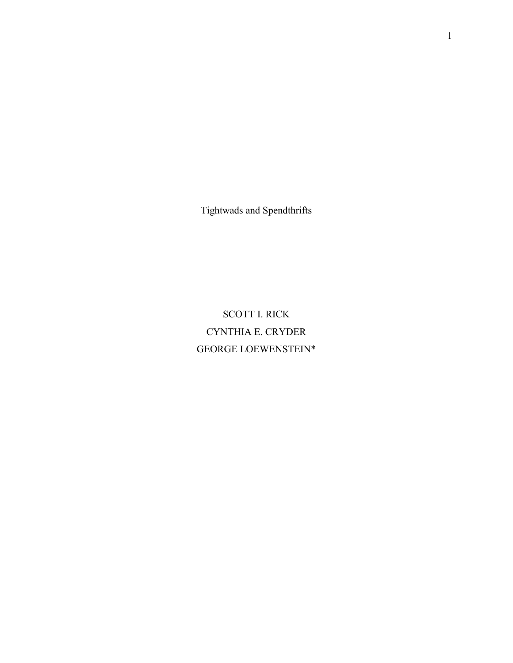Tightwads and Spendthrifts

SCOTT I. RICK CYNTHIA E. CRYDER GEORGE LOEWENSTEIN\*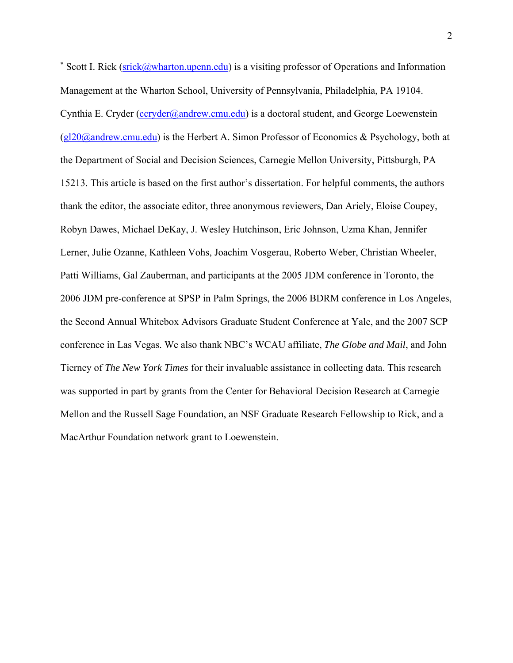\* Scott I. Rick (srick@wharton.upenn.edu) is a visiting professor of Operations and Information Management at the Wharton School, University of Pennsylvania, Philadelphia, PA 19104. Cynthia E. Cryder ( $ccryder$ ) and  $cew$ .cmu.edu) is a doctoral student, and George Loewenstein  $(g|20@andrew.cmu.edu)$  is the Herbert A. Simon Professor of Economics & Psychology, both at the Department of Social and Decision Sciences, Carnegie Mellon University, Pittsburgh, PA 15213. This article is based on the first author's dissertation. For helpful comments, the authors thank the editor, the associate editor, three anonymous reviewers, Dan Ariely, Eloise Coupey, Robyn Dawes, Michael DeKay, J. Wesley Hutchinson, Eric Johnson, Uzma Khan, Jennifer Lerner, Julie Ozanne, Kathleen Vohs, Joachim Vosgerau, Roberto Weber, Christian Wheeler, Patti Williams, Gal Zauberman, and participants at the 2005 JDM conference in Toronto, the 2006 JDM pre-conference at SPSP in Palm Springs, the 2006 BDRM conference in Los Angeles, the Second Annual Whitebox Advisors Graduate Student Conference at Yale, and the 2007 SCP conference in Las Vegas. We also thank NBC's WCAU affiliate, *The Globe and Mail*, and John Tierney of *The New York Times* for their invaluable assistance in collecting data. This research was supported in part by grants from the Center for Behavioral Decision Research at Carnegie Mellon and the Russell Sage Foundation, an NSF Graduate Research Fellowship to Rick, and a MacArthur Foundation network grant to Loewenstein.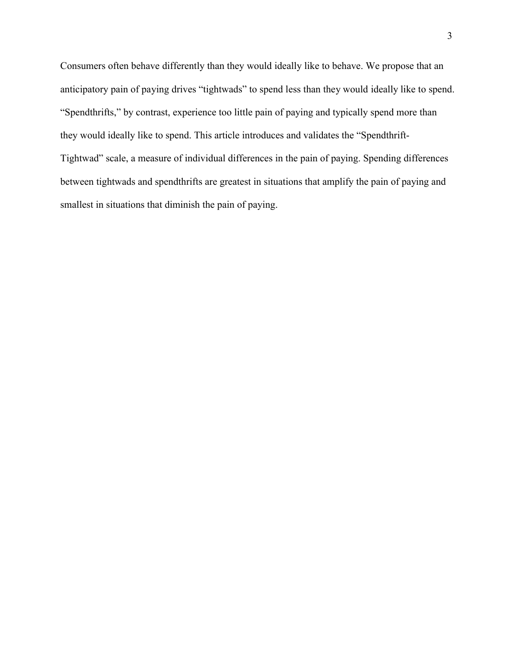Consumers often behave differently than they would ideally like to behave. We propose that an anticipatory pain of paying drives "tightwads" to spend less than they would ideally like to spend. "Spendthrifts," by contrast, experience too little pain of paying and typically spend more than they would ideally like to spend. This article introduces and validates the "Spendthrift-Tightwad" scale, a measure of individual differences in the pain of paying. Spending differences between tightwads and spendthrifts are greatest in situations that amplify the pain of paying and smallest in situations that diminish the pain of paying.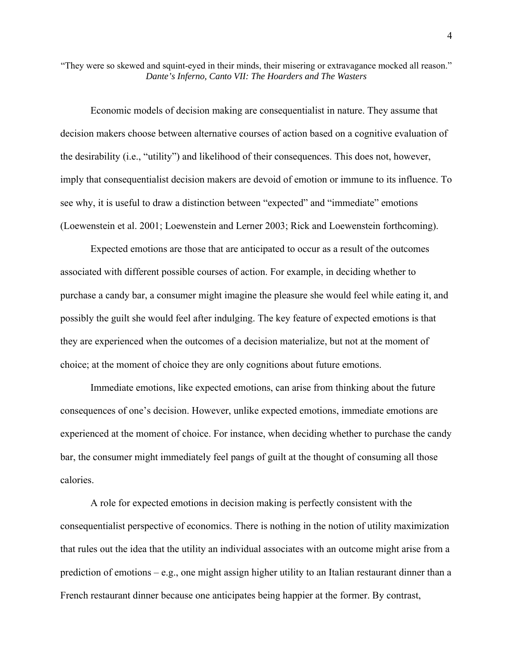"They were so skewed and squint-eyed in their minds, their misering or extravagance mocked all reason." *Dante's Inferno, Canto VII: The Hoarders and The Wasters*

Economic models of decision making are consequentialist in nature. They assume that decision makers choose between alternative courses of action based on a cognitive evaluation of the desirability (i.e., "utility") and likelihood of their consequences. This does not, however, imply that consequentialist decision makers are devoid of emotion or immune to its influence. To see why, it is useful to draw a distinction between "expected" and "immediate" emotions (Loewenstein et al. 2001; Loewenstein and Lerner 2003; Rick and Loewenstein forthcoming).

Expected emotions are those that are anticipated to occur as a result of the outcomes associated with different possible courses of action. For example, in deciding whether to purchase a candy bar, a consumer might imagine the pleasure she would feel while eating it, and possibly the guilt she would feel after indulging. The key feature of expected emotions is that they are experienced when the outcomes of a decision materialize, but not at the moment of choice; at the moment of choice they are only cognitions about future emotions.

Immediate emotions, like expected emotions, can arise from thinking about the future consequences of one's decision. However, unlike expected emotions, immediate emotions are experienced at the moment of choice. For instance, when deciding whether to purchase the candy bar, the consumer might immediately feel pangs of guilt at the thought of consuming all those calories.

A role for expected emotions in decision making is perfectly consistent with the consequentialist perspective of economics. There is nothing in the notion of utility maximization that rules out the idea that the utility an individual associates with an outcome might arise from a prediction of emotions  $-e.g.,$  one might assign higher utility to an Italian restaurant dinner than a French restaurant dinner because one anticipates being happier at the former. By contrast,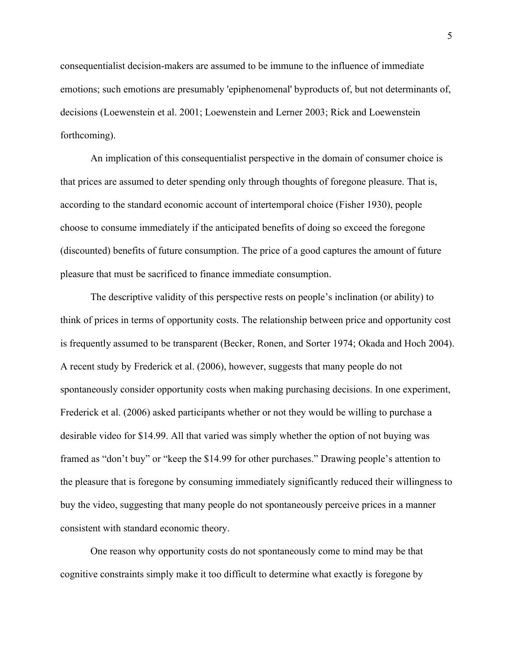consequentialist decision-makers are assumed to be immune to the influence of immediate emotions; such emotions are presumably 'epiphenomenal' byproducts of, but not determinants of, decisions (Loewenstein et al. 2001; Loewenstein and Lerner 2003; Rick and Loewenstein forthcoming).

An implication of this consequentialist perspective in the domain of consumer choice is that prices are assumed to deter spending only through thoughts of foregone pleasure. That is, according to the standard economic account of intertemporal choice (Fisher 1930), people choose to consume immediately if the anticipated benefits of doing so exceed the foregone (discounted) benefits of future consumption. The price of a good captures the amount of future pleasure that must be sacrificed to finance immediate consumption.

The descriptive validity of this perspective rests on people's inclination (or ability) to think of prices in terms of opportunity costs. The relationship between price and opportunity cost is frequently assumed to be transparent (Becker, Ronen, and Sorter 1974; Okada and Hoch 2004). A recent study by Frederick et al. (2006), however, suggests that many people do not spontaneously consider opportunity costs when making purchasing decisions. In one experiment, Frederick et al. (2006) asked participants whether or not they would be willing to purchase a desirable video for \$14.99. All that varied was simply whether the option of not buying was framed as "don't buy" or "keep the \$14.99 for other purchases." Drawing people's attention to the pleasure that is foregone by consuming immediately significantly reduced their willingness to buy the video, suggesting that many people do not spontaneously perceive prices in a manner consistent with standard economic theory.

One reason why opportunity costs do not spontaneously come to mind may be that cognitive constraints simply make it too difficult to determine what exactly is foregone by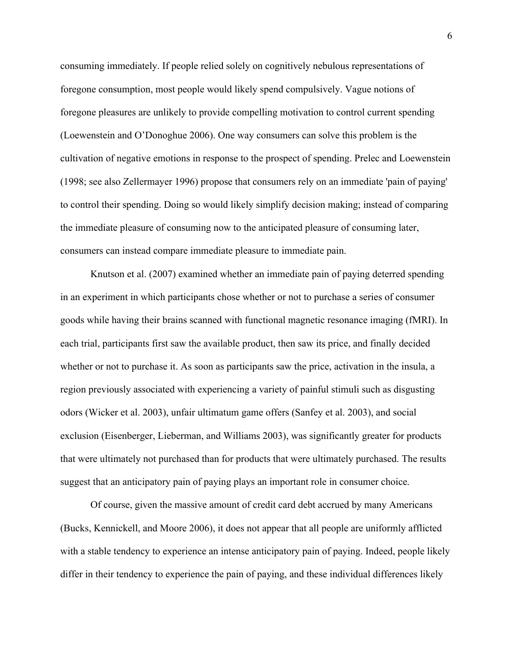consuming immediately. If people relied solely on cognitively nebulous representations of foregone consumption, most people would likely spend compulsively. Vague notions of foregone pleasures are unlikely to provide compelling motivation to control current spending (Loewenstein and O'Donoghue 2006). One way consumers can solve this problem is the cultivation of negative emotions in response to the prospect of spending. Prelec and Loewenstein (1998; see also Zellermayer 1996) propose that consumers rely on an immediate 'pain of paying' to control their spending. Doing so would likely simplify decision making; instead of comparing the immediate pleasure of consuming now to the anticipated pleasure of consuming later, consumers can instead compare immediate pleasure to immediate pain.

Knutson et al. (2007) examined whether an immediate pain of paying deterred spending in an experiment in which participants chose whether or not to purchase a series of consumer goods while having their brains scanned with functional magnetic resonance imaging (fMRI). In each trial, participants first saw the available product, then saw its price, and finally decided whether or not to purchase it. As soon as participants saw the price, activation in the insula, a region previously associated with experiencing a variety of painful stimuli such as disgusting odors (Wicker et al. 2003), unfair ultimatum game offers (Sanfey et al. 2003), and social exclusion (Eisenberger, Lieberman, and Williams 2003), was significantly greater for products that were ultimately not purchased than for products that were ultimately purchased. The results suggest that an anticipatory pain of paying plays an important role in consumer choice.

Of course, given the massive amount of credit card debt accrued by many Americans (Bucks, Kennickell, and Moore 2006), it does not appear that all people are uniformly afflicted with a stable tendency to experience an intense anticipatory pain of paying. Indeed, people likely differ in their tendency to experience the pain of paying, and these individual differences likely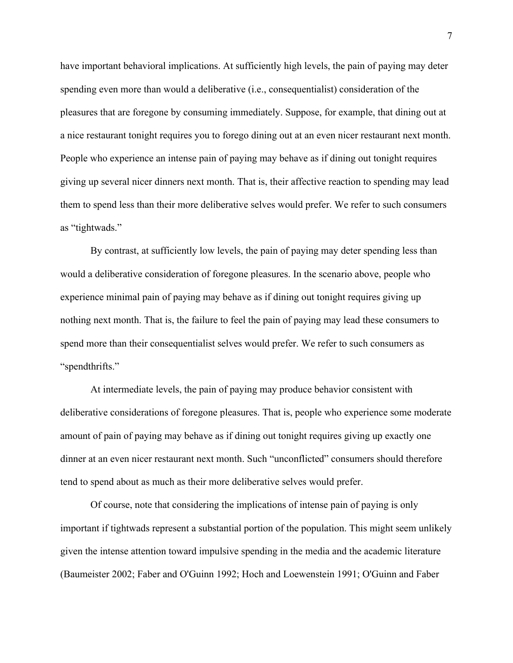have important behavioral implications. At sufficiently high levels, the pain of paying may deter spending even more than would a deliberative (i.e., consequentialist) consideration of the pleasures that are foregone by consuming immediately. Suppose, for example, that dining out at a nice restaurant tonight requires you to forego dining out at an even nicer restaurant next month. People who experience an intense pain of paying may behave as if dining out tonight requires giving up several nicer dinners next month. That is, their affective reaction to spending may lead them to spend less than their more deliberative selves would prefer. We refer to such consumers as "tightwads."

By contrast, at sufficiently low levels, the pain of paying may deter spending less than would a deliberative consideration of foregone pleasures. In the scenario above, people who experience minimal pain of paying may behave as if dining out tonight requires giving up nothing next month. That is, the failure to feel the pain of paying may lead these consumers to spend more than their consequentialist selves would prefer. We refer to such consumers as "spendthrifts."

At intermediate levels, the pain of paying may produce behavior consistent with deliberative considerations of foregone pleasures. That is, people who experience some moderate amount of pain of paying may behave as if dining out tonight requires giving up exactly one dinner at an even nicer restaurant next month. Such "unconflicted" consumers should therefore tend to spend about as much as their more deliberative selves would prefer.

Of course, note that considering the implications of intense pain of paying is only important if tightwads represent a substantial portion of the population. This might seem unlikely given the intense attention toward impulsive spending in the media and the academic literature (Baumeister 2002; Faber and O'Guinn 1992; Hoch and Loewenstein 1991; O'Guinn and Faber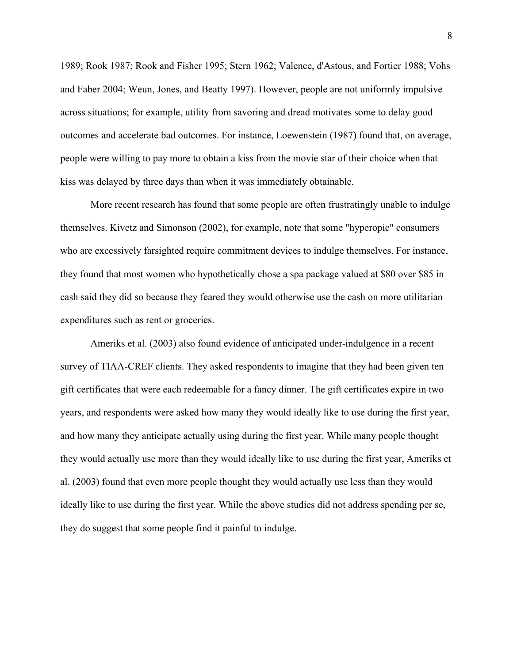1989; Rook 1987; Rook and Fisher 1995; Stern 1962; Valence, d'Astous, and Fortier 1988; Vohs and Faber 2004; Weun, Jones, and Beatty 1997). However, people are not uniformly impulsive across situations; for example, utility from savoring and dread motivates some to delay good outcomes and accelerate bad outcomes. For instance, Loewenstein (1987) found that, on average, people were willing to pay more to obtain a kiss from the movie star of their choice when that kiss was delayed by three days than when it was immediately obtainable.

More recent research has found that some people are often frustratingly unable to indulge themselves. Kivetz and Simonson (2002), for example, note that some "hyperopic" consumers who are excessively farsighted require commitment devices to indulge themselves. For instance, they found that most women who hypothetically chose a spa package valued at \$80 over \$85 in cash said they did so because they feared they would otherwise use the cash on more utilitarian expenditures such as rent or groceries.

Ameriks et al. (2003) also found evidence of anticipated under-indulgence in a recent survey of TIAA-CREF clients. They asked respondents to imagine that they had been given ten gift certificates that were each redeemable for a fancy dinner. The gift certificates expire in two years, and respondents were asked how many they would ideally like to use during the first year, and how many they anticipate actually using during the first year. While many people thought they would actually use more than they would ideally like to use during the first year, Ameriks et al. (2003) found that even more people thought they would actually use less than they would ideally like to use during the first year. While the above studies did not address spending per se, they do suggest that some people find it painful to indulge.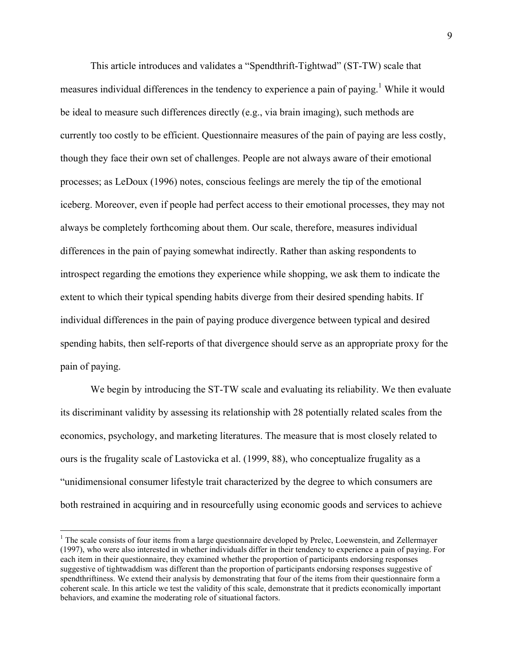This article introduces and validates a "Spendthrift-Tightwad" (ST-TW) scale that measures individual differences in the tendency to experience a pain of paying.<sup>1</sup> While it would be ideal to measure such differences directly (e.g., via brain imaging), such methods are currently too costly to be efficient. Questionnaire measures of the pain of paying are less costly, though they face their own set of challenges. People are not always aware of their emotional processes; as LeDoux (1996) notes, conscious feelings are merely the tip of the emotional iceberg. Moreover, even if people had perfect access to their emotional processes, they may not always be completely forthcoming about them. Our scale, therefore, measures individual differences in the pain of paying somewhat indirectly. Rather than asking respondents to introspect regarding the emotions they experience while shopping, we ask them to indicate the extent to which their typical spending habits diverge from their desired spending habits. If individual differences in the pain of paying produce divergence between typical and desired spending habits, then self-reports of that divergence should serve as an appropriate proxy for the pain of paying.

We begin by introducing the ST-TW scale and evaluating its reliability. We then evaluate its discriminant validity by assessing its relationship with 28 potentially related scales from the economics, psychology, and marketing literatures. The measure that is most closely related to ours is the frugality scale of Lastovicka et al. (1999, 88), who conceptualize frugality as a "unidimensional consumer lifestyle trait characterized by the degree to which consumers are both restrained in acquiring and in resourcefully using economic goods and services to achieve

1

<sup>&</sup>lt;sup>1</sup> The scale consists of four items from a large questionnaire developed by Prelec, Loewenstein, and Zellermayer (1997), who were also interested in whether individuals differ in their tendency to experience a pain of paying. For each item in their questionnaire, they examined whether the proportion of participants endorsing responses suggestive of tightwaddism was different than the proportion of participants endorsing responses suggestive of spendthriftiness. We extend their analysis by demonstrating that four of the items from their questionnaire form a coherent scale. In this article we test the validity of this scale, demonstrate that it predicts economically important behaviors, and examine the moderating role of situational factors.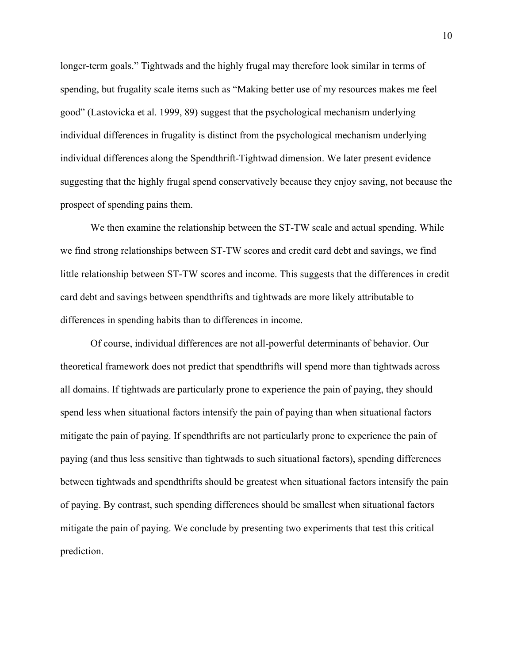longer-term goals." Tightwads and the highly frugal may therefore look similar in terms of spending, but frugality scale items such as "Making better use of my resources makes me feel good" (Lastovicka et al. 1999, 89) suggest that the psychological mechanism underlying individual differences in frugality is distinct from the psychological mechanism underlying individual differences along the Spendthrift-Tightwad dimension. We later present evidence suggesting that the highly frugal spend conservatively because they enjoy saving, not because the prospect of spending pains them.

We then examine the relationship between the ST-TW scale and actual spending. While we find strong relationships between ST-TW scores and credit card debt and savings, we find little relationship between ST-TW scores and income. This suggests that the differences in credit card debt and savings between spendthrifts and tightwads are more likely attributable to differences in spending habits than to differences in income.

Of course, individual differences are not all-powerful determinants of behavior. Our theoretical framework does not predict that spendthrifts will spend more than tightwads across all domains. If tightwads are particularly prone to experience the pain of paying, they should spend less when situational factors intensify the pain of paying than when situational factors mitigate the pain of paying. If spendthrifts are not particularly prone to experience the pain of paying (and thus less sensitive than tightwads to such situational factors), spending differences between tightwads and spendthrifts should be greatest when situational factors intensify the pain of paying. By contrast, such spending differences should be smallest when situational factors mitigate the pain of paying. We conclude by presenting two experiments that test this critical prediction.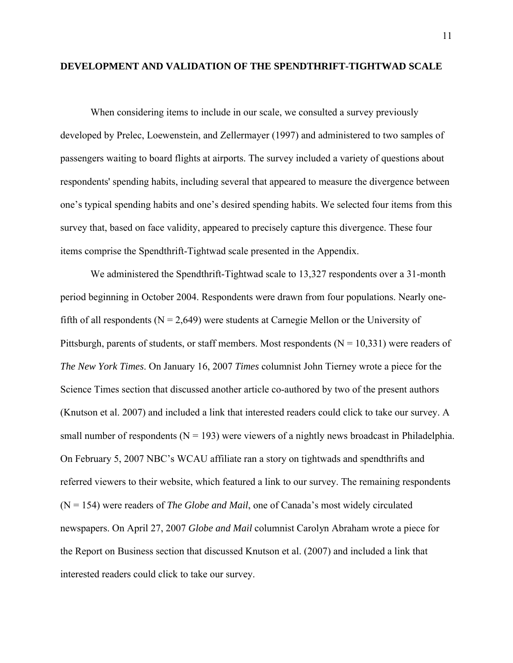#### **DEVELOPMENT AND VALIDATION OF THE SPENDTHRIFT-TIGHTWAD SCALE**

When considering items to include in our scale, we consulted a survey previously developed by Prelec, Loewenstein, and Zellermayer (1997) and administered to two samples of passengers waiting to board flights at airports. The survey included a variety of questions about respondents' spending habits, including several that appeared to measure the divergence between one's typical spending habits and one's desired spending habits. We selected four items from this survey that, based on face validity, appeared to precisely capture this divergence. These four items comprise the Spendthrift-Tightwad scale presented in the Appendix.

We administered the Spendthrift-Tightwad scale to 13,327 respondents over a 31-month period beginning in October 2004. Respondents were drawn from four populations. Nearly onefifth of all respondents ( $N = 2,649$ ) were students at Carnegie Mellon or the University of Pittsburgh, parents of students, or staff members. Most respondents  $(N = 10,331)$  were readers of *The New York Times*. On January 16, 2007 *Times* columnist John Tierney wrote a piece for the Science Times section that discussed another article co-authored by two of the present authors (Knutson et al. 2007) and included a link that interested readers could click to take our survey. A small number of respondents ( $N = 193$ ) were viewers of a nightly news broadcast in Philadelphia. On February 5, 2007 NBC's WCAU affiliate ran a story on tightwads and spendthrifts and referred viewers to their website, which featured a link to our survey. The remaining respondents (N = 154) were readers of *The Globe and Mail*, one of Canada's most widely circulated newspapers. On April 27, 2007 *Globe and Mail* columnist Carolyn Abraham wrote a piece for the Report on Business section that discussed Knutson et al. (2007) and included a link that interested readers could click to take our survey.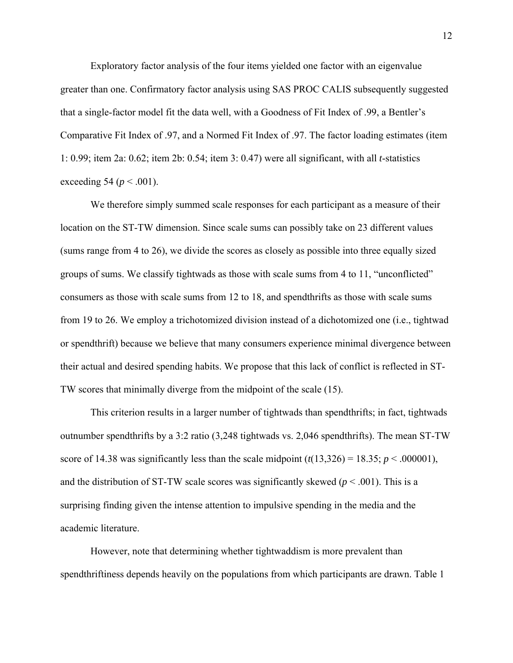Exploratory factor analysis of the four items yielded one factor with an eigenvalue greater than one. Confirmatory factor analysis using SAS PROC CALIS subsequently suggested that a single-factor model fit the data well, with a Goodness of Fit Index of .99, a Bentler's Comparative Fit Index of .97, and a Normed Fit Index of .97. The factor loading estimates (item 1: 0.99; item 2a: 0.62; item 2b: 0.54; item 3: 0.47) were all significant, with all *t*-statistics exceeding 54 ( $p < .001$ ).

We therefore simply summed scale responses for each participant as a measure of their location on the ST-TW dimension. Since scale sums can possibly take on 23 different values (sums range from 4 to 26), we divide the scores as closely as possible into three equally sized groups of sums. We classify tightwads as those with scale sums from 4 to 11, "unconflicted" consumers as those with scale sums from 12 to 18, and spendthrifts as those with scale sums from 19 to 26. We employ a trichotomized division instead of a dichotomized one (i.e., tightwad or spendthrift) because we believe that many consumers experience minimal divergence between their actual and desired spending habits. We propose that this lack of conflict is reflected in ST-TW scores that minimally diverge from the midpoint of the scale (15).

This criterion results in a larger number of tightwads than spendthrifts; in fact, tightwads outnumber spendthrifts by a 3:2 ratio (3,248 tightwads vs. 2,046 spendthrifts). The mean ST-TW score of 14.38 was significantly less than the scale midpoint  $(t(13,326) = 18.35; p < .000001)$ , and the distribution of ST-TW scale scores was significantly skewed ( $p < .001$ ). This is a surprising finding given the intense attention to impulsive spending in the media and the academic literature.

However, note that determining whether tightwaddism is more prevalent than spendthriftiness depends heavily on the populations from which participants are drawn. Table 1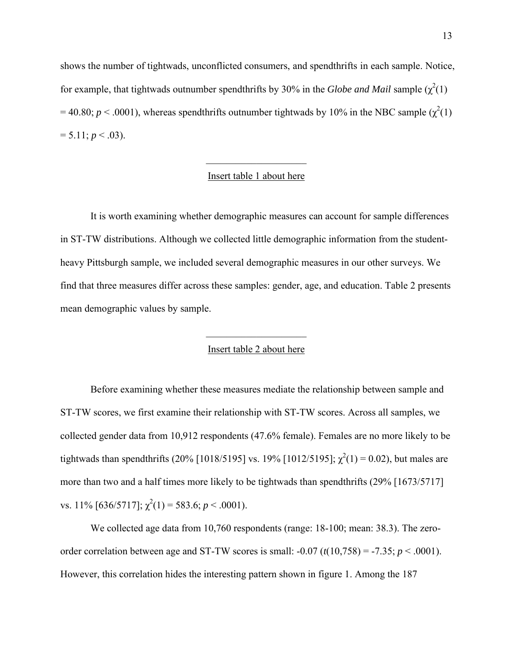shows the number of tightwads, unconflicted consumers, and spendthrifts in each sample. Notice, for example, that tightwads outnumber spendthrifts by 30% in the *Globe and Mail* sample  $(\chi^2(1))$  $= 40.80; p < .0001$ ), whereas spendthrifts outnumber tightwads by 10% in the NBC sample ( $\chi^2(1)$ )  $= 5.11$ ;  $p < .03$ ).

### Insert table 1 about here

 $\mathcal{L}_\text{max}$ 

It is worth examining whether demographic measures can account for sample differences in ST-TW distributions. Although we collected little demographic information from the studentheavy Pittsburgh sample, we included several demographic measures in our other surveys. We find that three measures differ across these samples: gender, age, and education. Table 2 presents mean demographic values by sample.

### Insert table 2 about here

 $\mathcal{L}_\text{max}$ 

Before examining whether these measures mediate the relationship between sample and ST-TW scores, we first examine their relationship with ST-TW scores. Across all samples, we collected gender data from 10,912 respondents (47.6% female). Females are no more likely to be tightwads than spendthrifts (20% [1018/5195] vs. 19% [1012/5195];  $\chi^2(1) = 0.02$ ), but males are more than two and a half times more likely to be tightwads than spendthrifts (29% [1673/5717] vs. 11% [636/5717];  $\chi^2(1) = 583.6$ ;  $p < .0001$ ).

We collected age data from 10,760 respondents (range: 18-100; mean: 38.3). The zeroorder correlation between age and ST-TW scores is small:  $-0.07$  ( $t(10,758) = -7.35$ ;  $p < .0001$ ). However, this correlation hides the interesting pattern shown in figure 1. Among the 187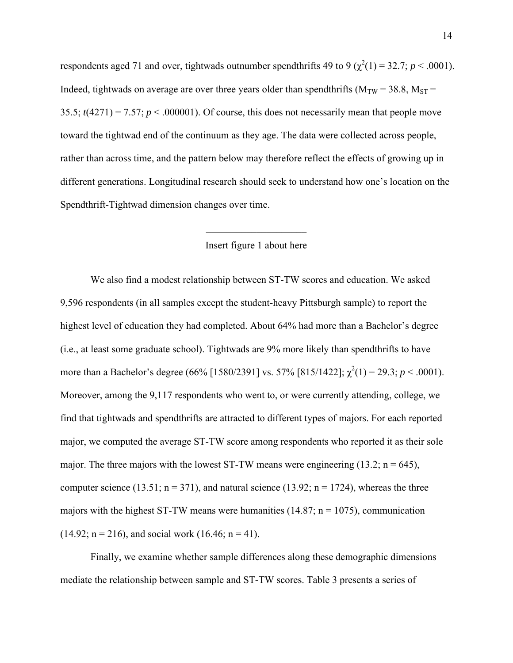respondents aged 71 and over, tightwads outnumber spendthrifts 49 to 9 ( $\chi^2(1)$  = 32.7; *p* < .0001). Indeed, tightwads on average are over three years older than spendthrifts ( $M_{TW}$  = 38.8,  $M_{ST}$  = 35.5;  $t(4271) = 7.57$ ;  $p < .000001$ ). Of course, this does not necessarily mean that people move toward the tightwad end of the continuum as they age. The data were collected across people, rather than across time, and the pattern below may therefore reflect the effects of growing up in different generations. Longitudinal research should seek to understand how one's location on the Spendthrift-Tightwad dimension changes over time.

#### Insert figure 1 about here

 $\mathcal{L}_\text{max}$  , where  $\mathcal{L}_\text{max}$  , we have the set of  $\mathcal{L}_\text{max}$ 

We also find a modest relationship between ST-TW scores and education. We asked 9,596 respondents (in all samples except the student-heavy Pittsburgh sample) to report the highest level of education they had completed. About 64% had more than a Bachelor's degree (i.e., at least some graduate school). Tightwads are 9% more likely than spendthrifts to have more than a Bachelor's degree (66% [1580/2391] vs. 57% [815/1422];  $\chi^2(1) = 29.3$ ;  $p < .0001$ ). Moreover, among the 9,117 respondents who went to, or were currently attending, college, we find that tightwads and spendthrifts are attracted to different types of majors. For each reported major, we computed the average ST-TW score among respondents who reported it as their sole major. The three majors with the lowest ST-TW means were engineering  $(13.2; n = 645)$ , computer science (13.51;  $n = 371$ ), and natural science (13.92;  $n = 1724$ ), whereas the three majors with the highest ST-TW means were humanities (14.87;  $n = 1075$ ), communication  $(14.92; n = 216)$ , and social work  $(16.46; n = 41)$ .

Finally, we examine whether sample differences along these demographic dimensions mediate the relationship between sample and ST-TW scores. Table 3 presents a series of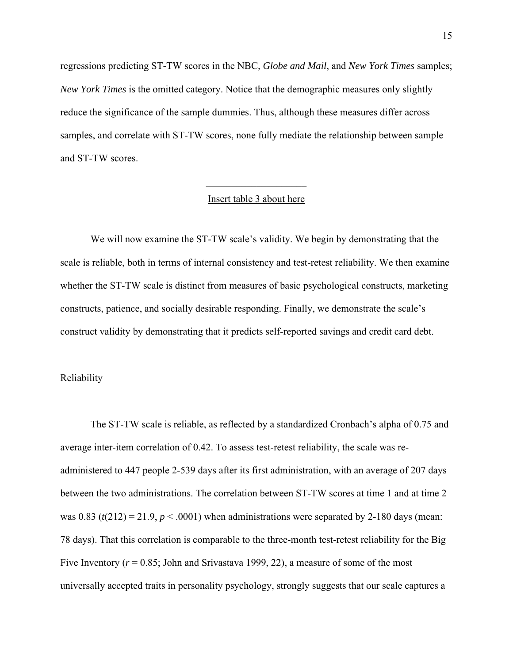regressions predicting ST-TW scores in the NBC, *Globe and Mail*, and *New York Times* samples; *New York Times* is the omitted category. Notice that the demographic measures only slightly reduce the significance of the sample dummies. Thus, although these measures differ across samples, and correlate with ST-TW scores, none fully mediate the relationship between sample and ST-TW scores.

#### Insert table 3 about here

 $\mathcal{L}_\text{max}$  , where  $\mathcal{L}_\text{max}$  , we have the set of  $\mathcal{L}_\text{max}$ 

We will now examine the ST-TW scale's validity. We begin by demonstrating that the scale is reliable, both in terms of internal consistency and test-retest reliability. We then examine whether the ST-TW scale is distinct from measures of basic psychological constructs, marketing constructs, patience, and socially desirable responding. Finally, we demonstrate the scale's construct validity by demonstrating that it predicts self-reported savings and credit card debt.

#### Reliability

The ST-TW scale is reliable, as reflected by a standardized Cronbach's alpha of 0.75 and average inter-item correlation of 0.42. To assess test-retest reliability, the scale was readministered to 447 people 2-539 days after its first administration, with an average of 207 days between the two administrations. The correlation between ST-TW scores at time 1 and at time 2 was  $0.83$  ( $t(212) = 21.9$ ,  $p < .0001$ ) when administrations were separated by 2-180 days (mean: 78 days). That this correlation is comparable to the three-month test-retest reliability for the Big Five Inventory (*r* = 0.85; John and Srivastava 1999, 22), a measure of some of the most universally accepted traits in personality psychology, strongly suggests that our scale captures a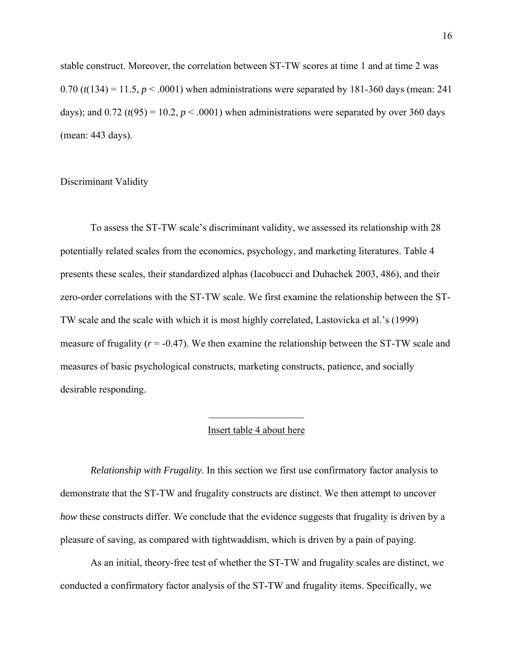stable construct. Moreover, the correlation between ST-TW scores at time 1 and at time 2 was 0.70 ( $t(134) = 11.5$ ,  $p < .0001$ ) when administrations were separated by 181-360 days (mean: 241) days); and  $0.72$  ( $t(95) = 10.2$ ,  $p < .0001$ ) when administrations were separated by over 360 days (mean: 443 days).

### Discriminant Validity

To assess the ST-TW scale's discriminant validity, we assessed its relationship with 28 potentially related scales from the economics, psychology, and marketing literatures. Table 4 presents these scales, their standardized alphas (Iacobucci and Duhachek 2003, 486), and their zero-order correlations with the ST-TW scale. We first examine the relationship between the ST-TW scale and the scale with which it is most highly correlated, Lastovicka et al.'s (1999) measure of frugality  $(r = -0.47)$ . We then examine the relationship between the ST-TW scale and measures of basic psychological constructs, marketing constructs, patience, and socially desirable responding.

### Insert table 4 about here

 $\mathcal{L}_\text{max}$  , where  $\mathcal{L}_\text{max}$  is the set of  $\mathcal{L}_\text{max}$ 

*Relationship with Frugality*. In this section we first use confirmatory factor analysis to demonstrate that the ST-TW and frugality constructs are distinct. We then attempt to uncover *how* these constructs differ. We conclude that the evidence suggests that frugality is driven by a pleasure of saving, as compared with tightwaddism, which is driven by a pain of paying.

As an initial, theory-free test of whether the ST-TW and frugality scales are distinct, we conducted a confirmatory factor analysis of the ST-TW and frugality items. Specifically, we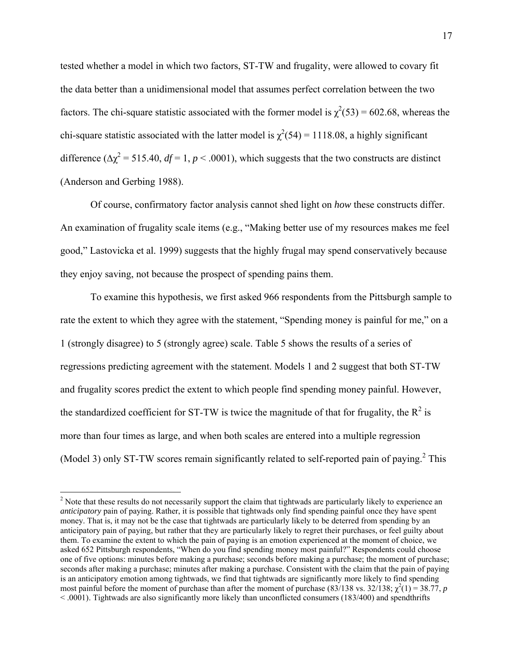tested whether a model in which two factors, ST-TW and frugality, were allowed to covary fit the data better than a unidimensional model that assumes perfect correlation between the two factors. The chi-square statistic associated with the former model is  $\chi^2(53) = 602.68$ , whereas the chi-square statistic associated with the latter model is  $\chi^2(54) = 1118.08$ , a highly significant difference ( $\Delta \chi^2$  = 515.40, *df* = 1, *p* < .0001), which suggests that the two constructs are distinct (Anderson and Gerbing 1988).

Of course, confirmatory factor analysis cannot shed light on *how* these constructs differ. An examination of frugality scale items (e.g., "Making better use of my resources makes me feel good," Lastovicka et al. 1999) suggests that the highly frugal may spend conservatively because they enjoy saving, not because the prospect of spending pains them.

To examine this hypothesis, we first asked 966 respondents from the Pittsburgh sample to rate the extent to which they agree with the statement, "Spending money is painful for me," on a 1 (strongly disagree) to 5 (strongly agree) scale. Table 5 shows the results of a series of regressions predicting agreement with the statement. Models 1 and 2 suggest that both ST-TW and frugality scores predict the extent to which people find spending money painful. However, the standardized coefficient for ST-TW is twice the magnitude of that for frugality, the  $R^2$  is more than four times as large, and when both scales are entered into a multiple regression (Model 3) only ST-TW scores remain significantly related to self-reported pain of paying.<sup>2</sup> This

 $\overline{a}$ 

 $2<sup>2</sup>$  Note that these results do not necessarily support the claim that tightwads are particularly likely to experience an *anticipatory* pain of paying. Rather, it is possible that tightwads only find spending painful once they have spent money. That is, it may not be the case that tightwads are particularly likely to be deterred from spending by an anticipatory pain of paying, but rather that they are particularly likely to regret their purchases, or feel guilty about them. To examine the extent to which the pain of paying is an emotion experienced at the moment of choice, we asked 652 Pittsburgh respondents, "When do you find spending money most painful?" Respondents could choose one of five options: minutes before making a purchase; seconds before making a purchase; the moment of purchase; seconds after making a purchase; minutes after making a purchase. Consistent with the claim that the pain of paying is an anticipatory emotion among tightwads, we find that tightwads are significantly more likely to find spending most painful before the moment of purchase than after the moment of purchase  $(83/138 \text{ vs. } 32/138; \chi^2(1) = 38.77, p$ < .0001). Tightwads are also significantly more likely than unconflicted consumers (183/400) and spendthrifts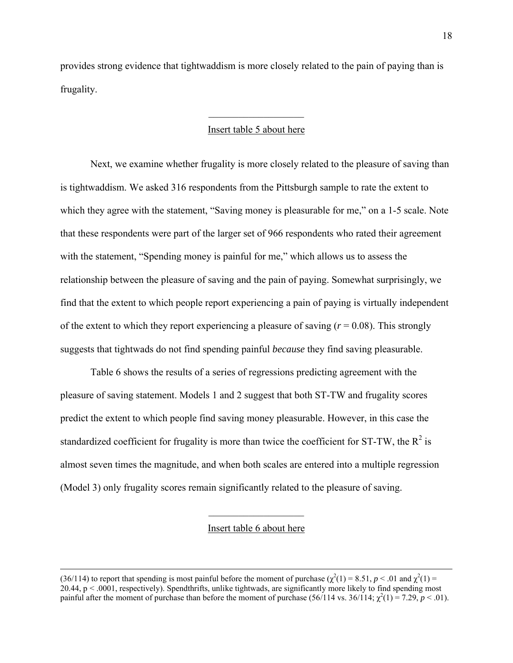provides strong evidence that tightwaddism is more closely related to the pain of paying than is frugality.

### Insert table 5 about here

 $\mathcal{L}_\text{max}$  , where  $\mathcal{L}_\text{max}$  is the set of  $\mathcal{L}_\text{max}$ 

Next, we examine whether frugality is more closely related to the pleasure of saving than is tightwaddism. We asked 316 respondents from the Pittsburgh sample to rate the extent to which they agree with the statement, "Saving money is pleasurable for me," on a 1-5 scale. Note that these respondents were part of the larger set of 966 respondents who rated their agreement with the statement, "Spending money is painful for me," which allows us to assess the relationship between the pleasure of saving and the pain of paying. Somewhat surprisingly, we find that the extent to which people report experiencing a pain of paying is virtually independent of the extent to which they report experiencing a pleasure of saving  $(r = 0.08)$ . This strongly suggests that tightwads do not find spending painful *because* they find saving pleasurable.

Table 6 shows the results of a series of regressions predicting agreement with the pleasure of saving statement. Models 1 and 2 suggest that both ST-TW and frugality scores predict the extent to which people find saving money pleasurable. However, in this case the standardized coefficient for frugality is more than twice the coefficient for ST-TW, the  $R^2$  is almost seven times the magnitude, and when both scales are entered into a multiple regression (Model 3) only frugality scores remain significantly related to the pleasure of saving.

#### Insert table 6 about here

 $\mathcal{L}_\text{max}$  , where  $\mathcal{L}_\text{max}$  is the set of  $\mathcal{L}_\text{max}$ 

 $\overline{a}$ 

<sup>(36/114)</sup> to report that spending is most painful before the moment of purchase ( $\chi^2(1) = 8.51$ ,  $p < .01$  and  $\chi^2(1) =$  $20.44$ ,  $p < 0.001$ , respectively). Spendthrifts, unlike tightwads, are significantly more likely to find spending most painful after the moment of purchase than before the moment of purchase (56/114 vs. 36/114;  $\chi^2(1) = 7.29$ ,  $p < .01$ ).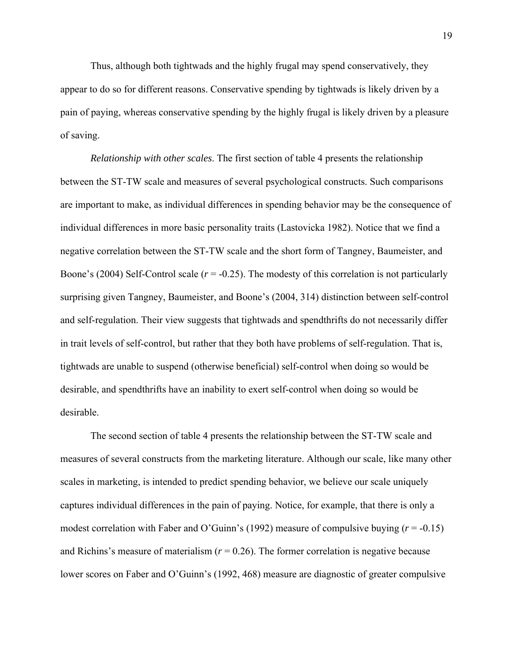Thus, although both tightwads and the highly frugal may spend conservatively, they appear to do so for different reasons. Conservative spending by tightwads is likely driven by a pain of paying, whereas conservative spending by the highly frugal is likely driven by a pleasure of saving.

*Relationship with other scales*. The first section of table 4 presents the relationship between the ST-TW scale and measures of several psychological constructs. Such comparisons are important to make, as individual differences in spending behavior may be the consequence of individual differences in more basic personality traits (Lastovicka 1982). Notice that we find a negative correlation between the ST-TW scale and the short form of Tangney, Baumeister, and Boone's (2004) Self-Control scale  $(r = -0.25)$ . The modesty of this correlation is not particularly surprising given Tangney, Baumeister, and Boone's (2004, 314) distinction between self-control and self-regulation. Their view suggests that tightwads and spendthrifts do not necessarily differ in trait levels of self-control, but rather that they both have problems of self-regulation. That is, tightwads are unable to suspend (otherwise beneficial) self-control when doing so would be desirable, and spendthrifts have an inability to exert self-control when doing so would be desirable.

The second section of table 4 presents the relationship between the ST-TW scale and measures of several constructs from the marketing literature. Although our scale, like many other scales in marketing, is intended to predict spending behavior, we believe our scale uniquely captures individual differences in the pain of paying. Notice, for example, that there is only a modest correlation with Faber and O'Guinn's (1992) measure of compulsive buying  $(r = -0.15)$ and Richins's measure of materialism  $(r = 0.26)$ . The former correlation is negative because lower scores on Faber and O'Guinn's (1992, 468) measure are diagnostic of greater compulsive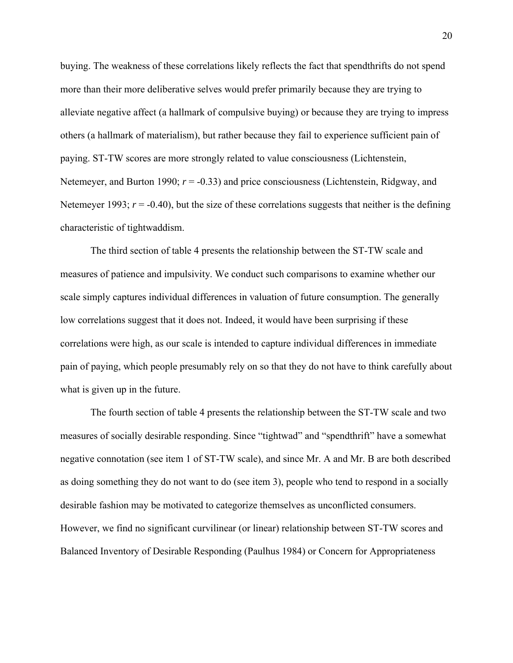buying. The weakness of these correlations likely reflects the fact that spendthrifts do not spend more than their more deliberative selves would prefer primarily because they are trying to alleviate negative affect (a hallmark of compulsive buying) or because they are trying to impress others (a hallmark of materialism), but rather because they fail to experience sufficient pain of paying. ST-TW scores are more strongly related to value consciousness (Lichtenstein, Netemeyer, and Burton 1990;  $r = -0.33$ ) and price consciousness (Lichtenstein, Ridgway, and Netemeyer 1993;  $r = -0.40$ ), but the size of these correlations suggests that neither is the defining characteristic of tightwaddism.

The third section of table 4 presents the relationship between the ST-TW scale and measures of patience and impulsivity. We conduct such comparisons to examine whether our scale simply captures individual differences in valuation of future consumption. The generally low correlations suggest that it does not. Indeed, it would have been surprising if these correlations were high, as our scale is intended to capture individual differences in immediate pain of paying, which people presumably rely on so that they do not have to think carefully about what is given up in the future.

The fourth section of table 4 presents the relationship between the ST-TW scale and two measures of socially desirable responding. Since "tightwad" and "spendthrift" have a somewhat negative connotation (see item 1 of ST-TW scale), and since Mr. A and Mr. B are both described as doing something they do not want to do (see item 3), people who tend to respond in a socially desirable fashion may be motivated to categorize themselves as unconflicted consumers. However, we find no significant curvilinear (or linear) relationship between ST-TW scores and Balanced Inventory of Desirable Responding (Paulhus 1984) or Concern for Appropriateness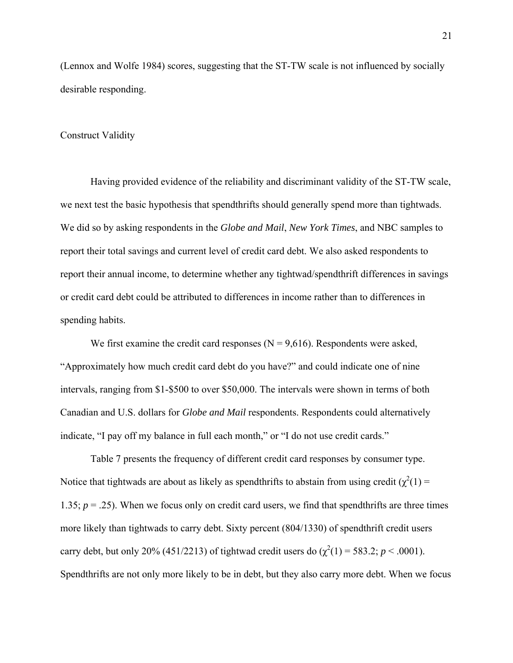(Lennox and Wolfe 1984) scores, suggesting that the ST-TW scale is not influenced by socially desirable responding.

#### Construct Validity

Having provided evidence of the reliability and discriminant validity of the ST-TW scale, we next test the basic hypothesis that spendthrifts should generally spend more than tightwads. We did so by asking respondents in the *Globe and Mail*, *New York Times*, and NBC samples to report their total savings and current level of credit card debt. We also asked respondents to report their annual income, to determine whether any tightwad/spendthrift differences in savings or credit card debt could be attributed to differences in income rather than to differences in spending habits.

We first examine the credit card responses ( $N = 9,616$ ). Respondents were asked, "Approximately how much credit card debt do you have?" and could indicate one of nine intervals, ranging from \$1-\$500 to over \$50,000. The intervals were shown in terms of both Canadian and U.S. dollars for *Globe and Mail* respondents. Respondents could alternatively indicate, "I pay off my balance in full each month," or "I do not use credit cards."

Table 7 presents the frequency of different credit card responses by consumer type. Notice that tightwads are about as likely as spendthrifts to abstain from using credit  $(\chi^2(1))$  = 1.35;  $p = 0.25$ ). When we focus only on credit card users, we find that spendthrifts are three times more likely than tightwads to carry debt. Sixty percent (804/1330) of spendthrift credit users carry debt, but only 20% (451/2213) of tightwad credit users do  $(\chi^2(1) = 583.2; p < .0001)$ . Spendthrifts are not only more likely to be in debt, but they also carry more debt. When we focus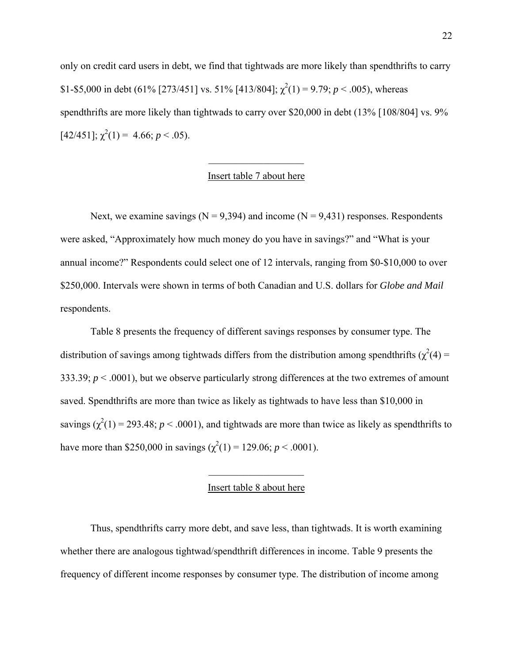only on credit card users in debt, we find that tightwads are more likely than spendthrifts to carry \$1-\$5,000 in debt (61% [273/451] vs. 51% [413/804];  $\chi^2(1) = 9.79$ ;  $p < .005$ ), whereas spendthrifts are more likely than tightwads to carry over \$20,000 in debt (13% [108/804] vs. 9% [42/451];  $\chi^2(1) = 4.66$ ;  $p < .05$ ).

#### Insert table 7 about here

 $\mathcal{L}_\text{max}$ 

Next, we examine savings ( $N = 9,394$ ) and income ( $N = 9,431$ ) responses. Respondents were asked, "Approximately how much money do you have in savings?" and "What is your annual income?" Respondents could select one of 12 intervals, ranging from \$0-\$10,000 to over \$250,000. Intervals were shown in terms of both Canadian and U.S. dollars for *Globe and Mail* respondents.

Table 8 presents the frequency of different savings responses by consumer type. The distribution of savings among tightwads differs from the distribution among spendthrifts ( $\chi^2(4)$  = 333.39;  $p \le 0.0001$ ), but we observe particularly strong differences at the two extremes of amount saved. Spendthrifts are more than twice as likely as tightwads to have less than \$10,000 in savings  $(\chi^2(1) = 293.48; p < .0001)$ , and tightwads are more than twice as likely as spendthrifts to have more than \$250,000 in savings ( $\chi^2(1) = 129.06$ ;  $p < .0001$ ).

#### Insert table 8 about here

 $\mathcal{L}_\text{max}$  , where  $\mathcal{L}_\text{max}$  is the set of  $\mathcal{L}_\text{max}$ 

Thus, spendthrifts carry more debt, and save less, than tightwads. It is worth examining whether there are analogous tightwad/spendthrift differences in income. Table 9 presents the frequency of different income responses by consumer type. The distribution of income among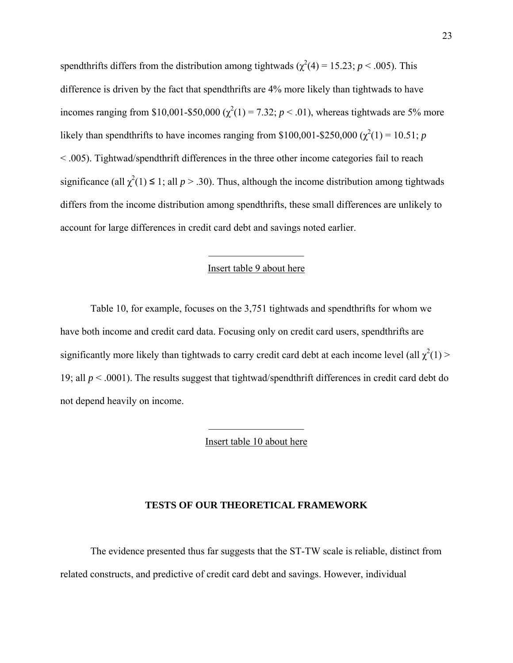spendthrifts differs from the distribution among tightwads ( $\chi^2(4) = 15.23$ ; *p* < .005). This difference is driven by the fact that spendthrifts are 4% more likely than tightwads to have incomes ranging from \$10,001-\$50,000 ( $\chi^2(1) = 7.32$ ;  $p < .01$ ), whereas tightwads are 5% more likely than spendthrifts to have incomes ranging from \$100,001-\$250,000 ( $\chi^2(1) = 10.51$ ; *p* < .005). Tightwad/spendthrift differences in the three other income categories fail to reach significance (all  $\chi^2(1) \le 1$ ; all  $p > .30$ ). Thus, although the income distribution among tightwads differs from the income distribution among spendthrifts, these small differences are unlikely to account for large differences in credit card debt and savings noted earlier.

### Insert table 9 about here

 $\mathcal{L}_\text{max}$  , where  $\mathcal{L}_\text{max}$  is the set of  $\mathcal{L}_\text{max}$ 

Table 10, for example, focuses on the 3,751 tightwads and spendthrifts for whom we have both income and credit card data. Focusing only on credit card users, spendthrifts are significantly more likely than tightwads to carry credit card debt at each income level (all  $\chi^2(1)$  > 19; all *p* < .0001). The results suggest that tightwad/spendthrift differences in credit card debt do not depend heavily on income.

Insert table 10 about here

 $\mathcal{L}_\text{max}$  , where  $\mathcal{L}_\text{max}$  is the set of  $\mathcal{L}_\text{max}$ 

#### **TESTS OF OUR THEORETICAL FRAMEWORK**

The evidence presented thus far suggests that the ST-TW scale is reliable, distinct from related constructs, and predictive of credit card debt and savings. However, individual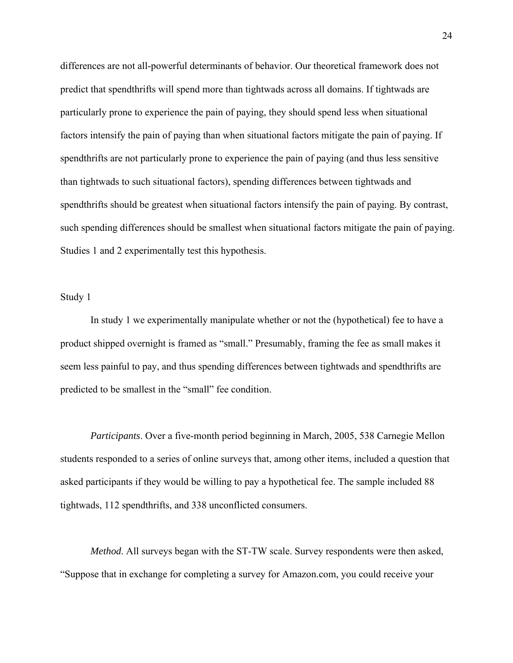differences are not all-powerful determinants of behavior. Our theoretical framework does not predict that spendthrifts will spend more than tightwads across all domains. If tightwads are particularly prone to experience the pain of paying, they should spend less when situational factors intensify the pain of paying than when situational factors mitigate the pain of paying. If spendthrifts are not particularly prone to experience the pain of paying (and thus less sensitive than tightwads to such situational factors), spending differences between tightwads and spendthrifts should be greatest when situational factors intensify the pain of paying. By contrast, such spending differences should be smallest when situational factors mitigate the pain of paying. Studies 1 and 2 experimentally test this hypothesis.

Study 1

In study 1 we experimentally manipulate whether or not the (hypothetical) fee to have a product shipped overnight is framed as "small." Presumably, framing the fee as small makes it seem less painful to pay, and thus spending differences between tightwads and spendthrifts are predicted to be smallest in the "small" fee condition.

*Participants*. Over a five-month period beginning in March, 2005, 538 Carnegie Mellon students responded to a series of online surveys that, among other items, included a question that asked participants if they would be willing to pay a hypothetical fee. The sample included 88 tightwads, 112 spendthrifts, and 338 unconflicted consumers.

*Method*. All surveys began with the ST-TW scale. Survey respondents were then asked, "Suppose that in exchange for completing a survey for Amazon.com, you could receive your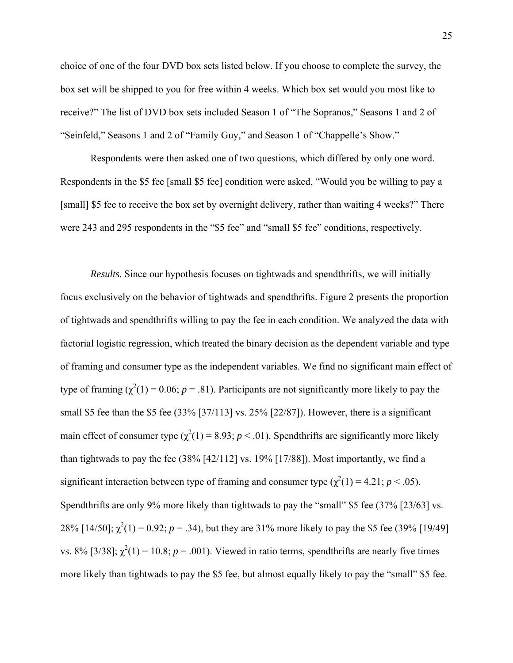choice of one of the four DVD box sets listed below. If you choose to complete the survey, the box set will be shipped to you for free within 4 weeks. Which box set would you most like to receive?" The list of DVD box sets included Season 1 of "The Sopranos," Seasons 1 and 2 of "Seinfeld," Seasons 1 and 2 of "Family Guy," and Season 1 of "Chappelle's Show."

Respondents were then asked one of two questions, which differed by only one word. Respondents in the \$5 fee [small \$5 fee] condition were asked, "Would you be willing to pay a [small] \$5 fee to receive the box set by overnight delivery, rather than waiting 4 weeks?" There were 243 and 295 respondents in the "\$5 fee" and "small \$5 fee" conditions, respectively.

*Results*. Since our hypothesis focuses on tightwads and spendthrifts, we will initially focus exclusively on the behavior of tightwads and spendthrifts. Figure 2 presents the proportion of tightwads and spendthrifts willing to pay the fee in each condition. We analyzed the data with factorial logistic regression, which treated the binary decision as the dependent variable and type of framing and consumer type as the independent variables. We find no significant main effect of type of framing  $(\chi^2(1) = 0.06; p = .81)$ . Participants are not significantly more likely to pay the small \$5 fee than the \$5 fee (33% [37/113] vs. 25% [22/87]). However, there is a significant main effect of consumer type  $(\chi^2(1) = 8.93; p < .01)$ . Spendthrifts are significantly more likely than tightwads to pay the fee (38% [42/112] vs. 19% [17/88]). Most importantly, we find a significant interaction between type of framing and consumer type  $(\chi^2(1) = 4.21; p < .05)$ . Spendthrifts are only 9% more likely than tightwads to pay the "small" \$5 fee (37% [23/63] vs. 28% [14/50];  $\chi^2(1) = 0.92$ ;  $p = .34$ ), but they are 31% more likely to pay the \$5 fee (39% [19/49] vs. 8% [3/38];  $\chi^2(1) = 10.8$ ;  $p = .001$ ). Viewed in ratio terms, spendthrifts are nearly five times more likely than tightwads to pay the \$5 fee, but almost equally likely to pay the "small" \$5 fee.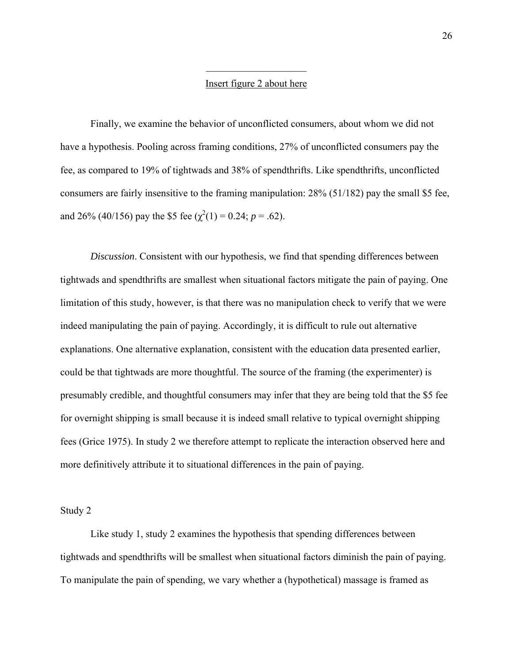### Insert figure 2 about here

 $\mathcal{L}_\text{max}$  , where  $\mathcal{L}_\text{max}$  , we have the set of  $\mathcal{L}_\text{max}$ 

Finally, we examine the behavior of unconflicted consumers, about whom we did not have a hypothesis. Pooling across framing conditions, 27% of unconflicted consumers pay the fee, as compared to 19% of tightwads and 38% of spendthrifts. Like spendthrifts, unconflicted consumers are fairly insensitive to the framing manipulation: 28% (51/182) pay the small \$5 fee, and 26% (40/156) pay the \$5 fee ( $\chi^2(1) = 0.24$ ; *p* = .62).

*Discussion*. Consistent with our hypothesis, we find that spending differences between tightwads and spendthrifts are smallest when situational factors mitigate the pain of paying. One limitation of this study, however, is that there was no manipulation check to verify that we were indeed manipulating the pain of paying. Accordingly, it is difficult to rule out alternative explanations. One alternative explanation, consistent with the education data presented earlier, could be that tightwads are more thoughtful. The source of the framing (the experimenter) is presumably credible, and thoughtful consumers may infer that they are being told that the \$5 fee for overnight shipping is small because it is indeed small relative to typical overnight shipping fees (Grice 1975). In study 2 we therefore attempt to replicate the interaction observed here and more definitively attribute it to situational differences in the pain of paying.

Study 2

Like study 1, study 2 examines the hypothesis that spending differences between tightwads and spendthrifts will be smallest when situational factors diminish the pain of paying. To manipulate the pain of spending, we vary whether a (hypothetical) massage is framed as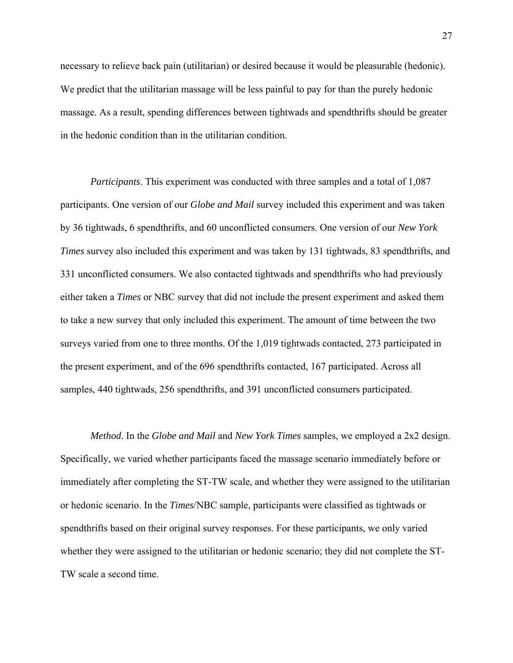necessary to relieve back pain (utilitarian) or desired because it would be pleasurable (hedonic). We predict that the utilitarian massage will be less painful to pay for than the purely hedonic massage. As a result, spending differences between tightwads and spendthrifts should be greater in the hedonic condition than in the utilitarian condition.

*Participants*. This experiment was conducted with three samples and a total of 1,087 participants. One version of our *Globe and Mail* survey included this experiment and was taken by 36 tightwads, 6 spendthrifts, and 60 unconflicted consumers. One version of our *New York Times* survey also included this experiment and was taken by 131 tightwads, 83 spendthrifts, and 331 unconflicted consumers. We also contacted tightwads and spendthrifts who had previously either taken a *Times* or NBC survey that did not include the present experiment and asked them to take a new survey that only included this experiment. The amount of time between the two surveys varied from one to three months. Of the 1,019 tightwads contacted, 273 participated in the present experiment, and of the 696 spendthrifts contacted, 167 participated. Across all samples, 440 tightwads, 256 spendthrifts, and 391 unconflicted consumers participated.

*Method*. In the *Globe and Mail* and *New York Times* samples, we employed a 2x2 design. Specifically, we varied whether participants faced the massage scenario immediately before or immediately after completing the ST-TW scale, and whether they were assigned to the utilitarian or hedonic scenario. In the *Times*/NBC sample, participants were classified as tightwads or spendthrifts based on their original survey responses. For these participants, we only varied whether they were assigned to the utilitarian or hedonic scenario; they did not complete the ST-TW scale a second time.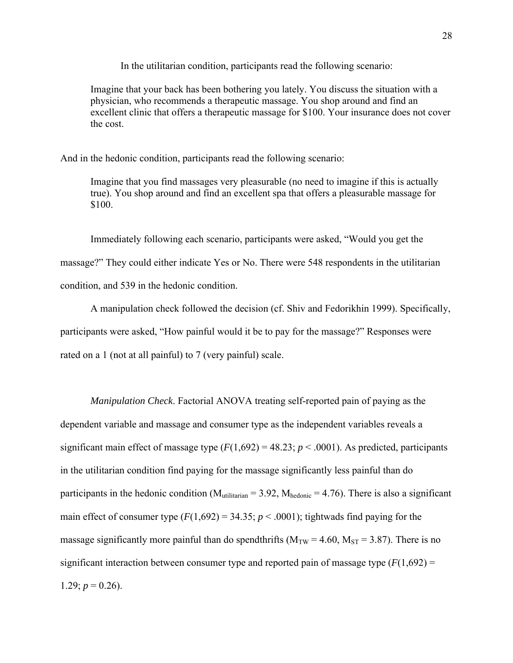In the utilitarian condition, participants read the following scenario:

Imagine that your back has been bothering you lately. You discuss the situation with a physician, who recommends a therapeutic massage. You shop around and find an excellent clinic that offers a therapeutic massage for \$100. Your insurance does not cover the cost.

And in the hedonic condition, participants read the following scenario:

Imagine that you find massages very pleasurable (no need to imagine if this is actually true). You shop around and find an excellent spa that offers a pleasurable massage for \$100.

Immediately following each scenario, participants were asked, "Would you get the massage?" They could either indicate Yes or No. There were 548 respondents in the utilitarian condition, and 539 in the hedonic condition.

A manipulation check followed the decision (cf. Shiv and Fedorikhin 1999). Specifically, participants were asked, "How painful would it be to pay for the massage?" Responses were rated on a 1 (not at all painful) to 7 (very painful) scale.

*Manipulation Check*. Factorial ANOVA treating self-reported pain of paying as the dependent variable and massage and consumer type as the independent variables reveals a significant main effect of massage type  $(F(1,692) = 48.23; p < .0001)$ . As predicted, participants in the utilitarian condition find paying for the massage significantly less painful than do participants in the hedonic condition ( $M<sub>utilitarian</sub> = 3.92$ ,  $M<sub>hedonic</sub> = 4.76$ ). There is also a significant main effect of consumer type  $(F(1,692) = 34.35; p < .0001)$ ; tightwads find paying for the massage significantly more painful than do spendthrifts ( $M_{TW} = 4.60$ ,  $M_{ST} = 3.87$ ). There is no significant interaction between consumer type and reported pain of massage type  $(F(1,692) =$ 1.29;  $p = 0.26$ ).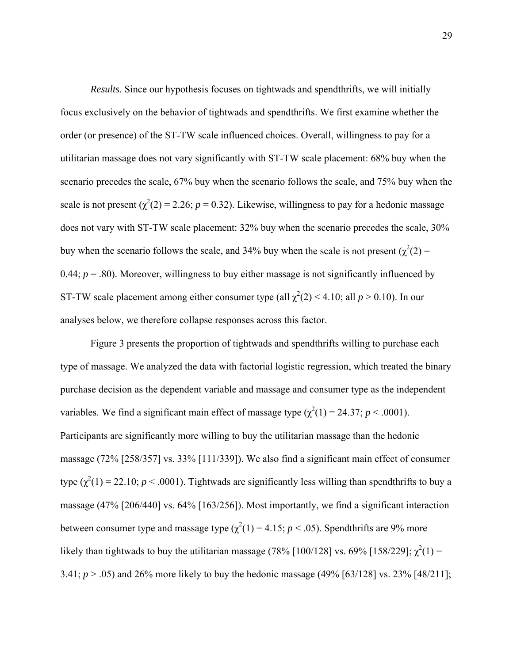*Results*. Since our hypothesis focuses on tightwads and spendthrifts, we will initially focus exclusively on the behavior of tightwads and spendthrifts. We first examine whether the order (or presence) of the ST-TW scale influenced choices. Overall, willingness to pay for a utilitarian massage does not vary significantly with ST-TW scale placement: 68% buy when the scenario precedes the scale, 67% buy when the scenario follows the scale, and 75% buy when the scale is not present  $(\chi^2(2) = 2.26; p = 0.32)$ . Likewise, willingness to pay for a hedonic massage does not vary with ST-TW scale placement: 32% buy when the scenario precedes the scale, 30% buy when the scenario follows the scale, and 34% buy when the scale is not present ( $\chi^2(2)$  = 0.44;  $p = 0.80$ ). Moreover, willingness to buy either massage is not significantly influenced by ST-TW scale placement among either consumer type (all  $\chi^2(2)$  < 4.10; all  $p > 0.10$ ). In our analyses below, we therefore collapse responses across this factor.

Figure 3 presents the proportion of tightwads and spendthrifts willing to purchase each type of massage. We analyzed the data with factorial logistic regression, which treated the binary purchase decision as the dependent variable and massage and consumer type as the independent variables. We find a significant main effect of massage type  $(\chi^2(1) = 24.37; p < .0001)$ . Participants are significantly more willing to buy the utilitarian massage than the hedonic massage (72% [258/357] vs. 33% [111/339]). We also find a significant main effect of consumer type  $(\chi^2(1) = 22.10; p < .0001)$ . Tightwads are significantly less willing than spendthrifts to buy a massage (47% [206/440] vs. 64% [163/256]). Most importantly, we find a significant interaction between consumer type and massage type  $(\chi^2(1) = 4.15; p < .05)$ . Spendthrifts are 9% more likely than tightwads to buy the utilitarian massage (78% [100/128] vs. 69% [158/229];  $\chi^2(1)$  = 3.41; *p* > .05) and 26% more likely to buy the hedonic massage (49% [63/128] vs. 23% [48/211];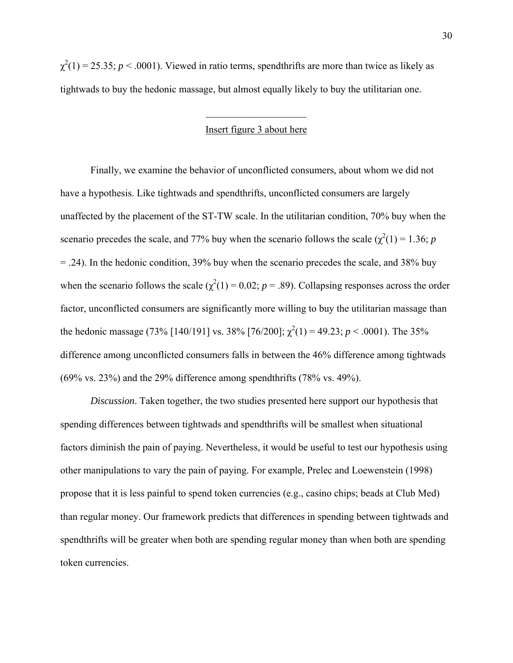$\chi^2(1) = 25.35$ ; *p* < .0001). Viewed in ratio terms, spendthrifts are more than twice as likely as tightwads to buy the hedonic massage, but almost equally likely to buy the utilitarian one.

### Insert figure 3 about here

 $\mathcal{L}_\text{max}$  , where  $\mathcal{L}_\text{max}$  , we have the set of  $\mathcal{L}_\text{max}$ 

Finally, we examine the behavior of unconflicted consumers, about whom we did not have a hypothesis. Like tightwads and spendthrifts, unconflicted consumers are largely unaffected by the placement of the ST-TW scale. In the utilitarian condition, 70% buy when the scenario precedes the scale, and 77% buy when the scenario follows the scale  $(\chi^2(1) = 1.36; p$ = .24). In the hedonic condition, 39% buy when the scenario precedes the scale, and 38% buy when the scenario follows the scale  $(\chi^2(1) = 0.02; p = .89)$ . Collapsing responses across the order factor, unconflicted consumers are significantly more willing to buy the utilitarian massage than the hedonic massage (73% [140/191] vs. 38% [76/200];  $\chi^2(1) = 49.23$ ;  $p < .0001$ ). The 35% difference among unconflicted consumers falls in between the 46% difference among tightwads (69% vs. 23%) and the 29% difference among spendthrifts (78% vs. 49%).

*Discussion*. Taken together, the two studies presented here support our hypothesis that spending differences between tightwads and spendthrifts will be smallest when situational factors diminish the pain of paying. Nevertheless, it would be useful to test our hypothesis using other manipulations to vary the pain of paying. For example, Prelec and Loewenstein (1998) propose that it is less painful to spend token currencies (e.g., casino chips; beads at Club Med) than regular money. Our framework predicts that differences in spending between tightwads and spendthrifts will be greater when both are spending regular money than when both are spending token currencies.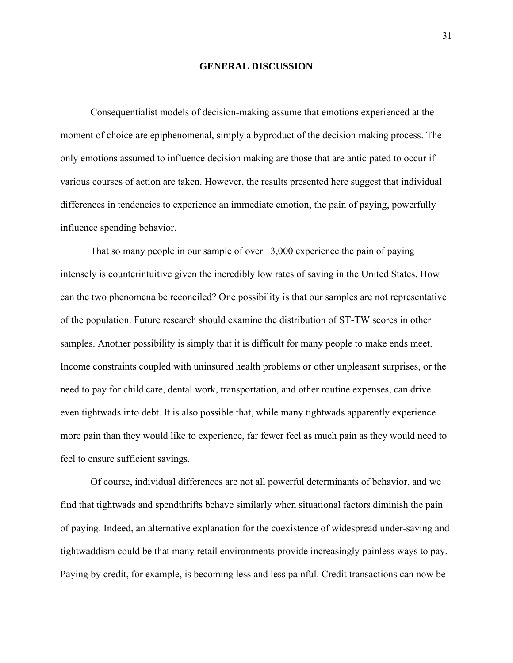#### **GENERAL DISCUSSION**

Consequentialist models of decision-making assume that emotions experienced at the moment of choice are epiphenomenal, simply a byproduct of the decision making process. The only emotions assumed to influence decision making are those that are anticipated to occur if various courses of action are taken. However, the results presented here suggest that individual differences in tendencies to experience an immediate emotion, the pain of paying, powerfully influence spending behavior.

That so many people in our sample of over 13,000 experience the pain of paying intensely is counterintuitive given the incredibly low rates of saving in the United States. How can the two phenomena be reconciled? One possibility is that our samples are not representative of the population. Future research should examine the distribution of ST-TW scores in other samples. Another possibility is simply that it is difficult for many people to make ends meet. Income constraints coupled with uninsured health problems or other unpleasant surprises, or the need to pay for child care, dental work, transportation, and other routine expenses, can drive even tightwads into debt. It is also possible that, while many tightwads apparently experience more pain than they would like to experience, far fewer feel as much pain as they would need to feel to ensure sufficient savings.

Of course, individual differences are not all powerful determinants of behavior, and we find that tightwads and spendthrifts behave similarly when situational factors diminish the pain of paying. Indeed, an alternative explanation for the coexistence of widespread under-saving and tightwaddism could be that many retail environments provide increasingly painless ways to pay. Paying by credit, for example, is becoming less and less painful. Credit transactions can now be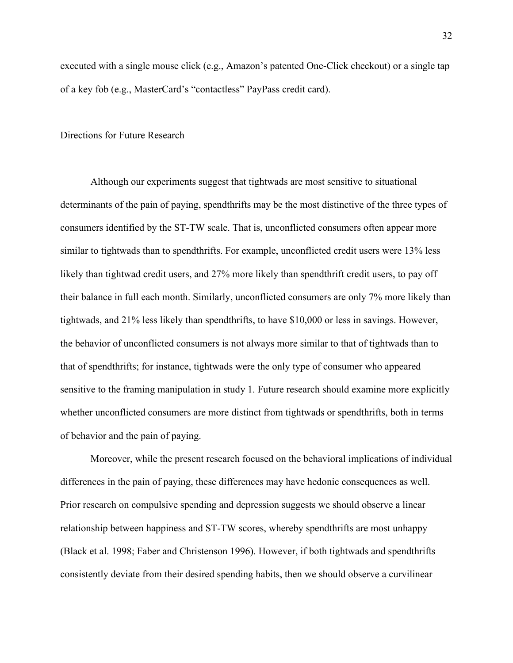executed with a single mouse click (e.g., Amazon's patented One-Click checkout) or a single tap of a key fob (e.g., MasterCard's "contactless" PayPass credit card).

#### Directions for Future Research

Although our experiments suggest that tightwads are most sensitive to situational determinants of the pain of paying, spendthrifts may be the most distinctive of the three types of consumers identified by the ST-TW scale. That is, unconflicted consumers often appear more similar to tightwads than to spendthrifts. For example, unconflicted credit users were 13% less likely than tightwad credit users, and 27% more likely than spendthrift credit users, to pay off their balance in full each month. Similarly, unconflicted consumers are only 7% more likely than tightwads, and 21% less likely than spendthrifts, to have \$10,000 or less in savings. However, the behavior of unconflicted consumers is not always more similar to that of tightwads than to that of spendthrifts; for instance, tightwads were the only type of consumer who appeared sensitive to the framing manipulation in study 1. Future research should examine more explicitly whether unconflicted consumers are more distinct from tightwads or spendthrifts, both in terms of behavior and the pain of paying.

Moreover, while the present research focused on the behavioral implications of individual differences in the pain of paying, these differences may have hedonic consequences as well. Prior research on compulsive spending and depression suggests we should observe a linear relationship between happiness and ST-TW scores, whereby spendthrifts are most unhappy (Black et al. 1998; Faber and Christenson 1996). However, if both tightwads and spendthrifts consistently deviate from their desired spending habits, then we should observe a curvilinear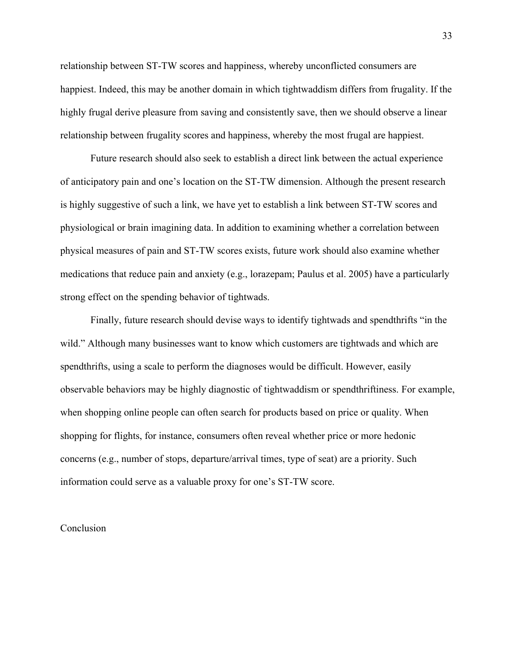relationship between ST-TW scores and happiness, whereby unconflicted consumers are happiest. Indeed, this may be another domain in which tightwaddism differs from frugality. If the highly frugal derive pleasure from saving and consistently save, then we should observe a linear relationship between frugality scores and happiness, whereby the most frugal are happiest.

Future research should also seek to establish a direct link between the actual experience of anticipatory pain and one's location on the ST-TW dimension. Although the present research is highly suggestive of such a link, we have yet to establish a link between ST-TW scores and physiological or brain imagining data. In addition to examining whether a correlation between physical measures of pain and ST-TW scores exists, future work should also examine whether medications that reduce pain and anxiety (e.g., lorazepam; Paulus et al. 2005) have a particularly strong effect on the spending behavior of tightwads.

Finally, future research should devise ways to identify tightwads and spendthrifts "in the wild." Although many businesses want to know which customers are tightwads and which are spendthrifts, using a scale to perform the diagnoses would be difficult. However, easily observable behaviors may be highly diagnostic of tightwaddism or spendthriftiness. For example, when shopping online people can often search for products based on price or quality. When shopping for flights, for instance, consumers often reveal whether price or more hedonic concerns (e.g., number of stops, departure/arrival times, type of seat) are a priority. Such information could serve as a valuable proxy for one's ST-TW score.

#### **Conclusion**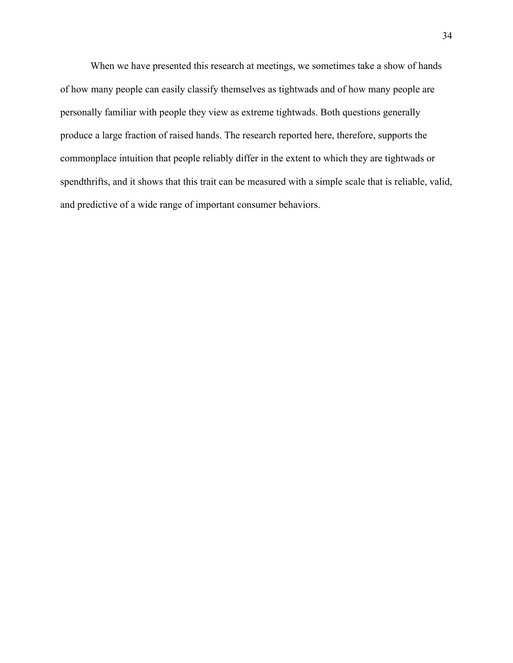When we have presented this research at meetings, we sometimes take a show of hands of how many people can easily classify themselves as tightwads and of how many people are personally familiar with people they view as extreme tightwads. Both questions generally produce a large fraction of raised hands. The research reported here, therefore, supports the commonplace intuition that people reliably differ in the extent to which they are tightwads or spendthrifts, and it shows that this trait can be measured with a simple scale that is reliable, valid, and predictive of a wide range of important consumer behaviors.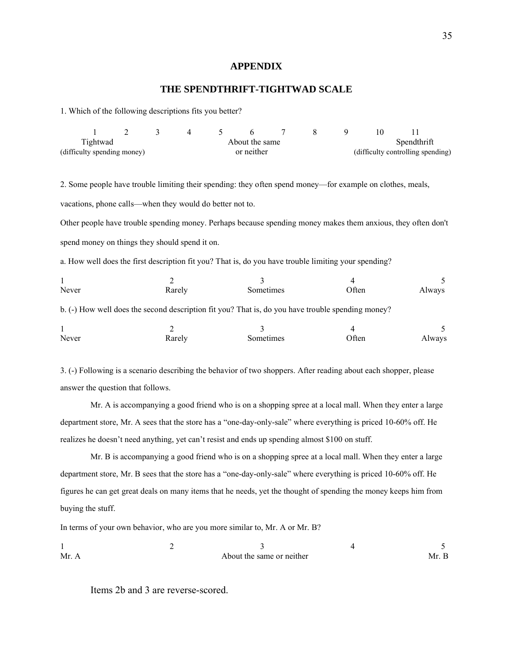#### **APPENDIX**

### **THE SPENDTHRIFT-TIGHTWAD SCALE**

1. Which of the following descriptions fits you better?

|                             |  |  | 6              |  |  |                                   |  |
|-----------------------------|--|--|----------------|--|--|-----------------------------------|--|
| Tightwad                    |  |  | About the same |  |  | Spendthrift                       |  |
| (difficulty spending money) |  |  | or neither     |  |  | (difficulty controlling spending) |  |

2. Some people have trouble limiting their spending: they often spend money—for example on clothes, meals, vacations, phone calls—when they would do better not to.

Other people have trouble spending money. Perhaps because spending money makes them anxious, they often don't spend money on things they should spend it on.

a. How well does the first description fit you? That is, do you have trouble limiting your spending?

| Never | Rarely | Sometimes                                                                                         | Often | Always |
|-------|--------|---------------------------------------------------------------------------------------------------|-------|--------|
|       |        | b. (-) How well does the second description fit you? That is, do you have trouble spending money? |       |        |
|       |        |                                                                                                   |       |        |
| Never | Rarely | Sometimes                                                                                         | Often | Always |

3. (-) Following is a scenario describing the behavior of two shoppers. After reading about each shopper, please answer the question that follows.

Mr. A is accompanying a good friend who is on a shopping spree at a local mall. When they enter a large department store, Mr. A sees that the store has a "one-day-only-sale" where everything is priced 10-60% off. He realizes he doesn't need anything, yet can't resist and ends up spending almost \$100 on stuff.

Mr. B is accompanying a good friend who is on a shopping spree at a local mall. When they enter a large department store, Mr. B sees that the store has a "one-day-only-sale" where everything is priced 10-60% off. He figures he can get great deals on many items that he needs, yet the thought of spending the money keeps him from buying the stuff.

In terms of your own behavior, who are you more similar to, Mr. A or Mr. B?

| Mr. A | About the same or neither | Mr. B |
|-------|---------------------------|-------|

Items 2b and 3 are reverse-scored.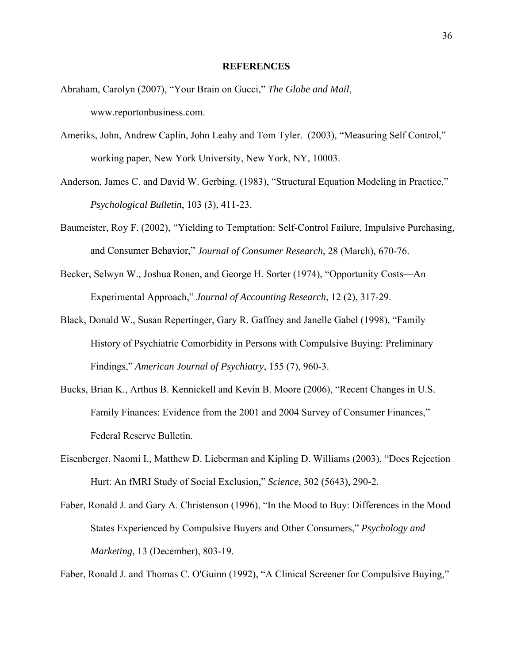#### **REFERENCES**

- Abraham, Carolyn (2007), "Your Brain on Gucci," *The Globe and Mail*, www.reportonbusiness.com.
- Ameriks, John, Andrew Caplin, John Leahy and Tom Tyler. (2003), "Measuring Self Control," working paper, New York University, New York, NY, 10003.
- Anderson, James C. and David W. Gerbing. (1983), "Structural Equation Modeling in Practice," *Psychological Bulletin*, 103 (3), 411-23.
- Baumeister, Roy F. (2002), "Yielding to Temptation: Self-Control Failure, Impulsive Purchasing, and Consumer Behavior," *Journal of Consumer Research*, 28 (March), 670-76.
- Becker, Selwyn W., Joshua Ronen, and George H. Sorter (1974), "Opportunity Costs—An Experimental Approach," *Journal of Accounting Research*, 12 (2), 317-29.
- Black, Donald W., Susan Repertinger, Gary R. Gaffney and Janelle Gabel (1998), "Family History of Psychiatric Comorbidity in Persons with Compulsive Buying: Preliminary Findings," *American Journal of Psychiatry*, 155 (7), 960-3.
- Bucks, Brian K., Arthus B. Kennickell and Kevin B. Moore (2006), "Recent Changes in U.S. Family Finances: Evidence from the 2001 and 2004 Survey of Consumer Finances," Federal Reserve Bulletin.
- Eisenberger, Naomi I., Matthew D. Lieberman and Kipling D. Williams (2003), "Does Rejection Hurt: An fMRI Study of Social Exclusion," *Science*, 302 (5643), 290-2.
- Faber, Ronald J. and Gary A. Christenson (1996), "In the Mood to Buy: Differences in the Mood States Experienced by Compulsive Buyers and Other Consumers," *Psychology and Marketing*, 13 (December), 803-19.

Faber, Ronald J. and Thomas C. O'Guinn (1992), "A Clinical Screener for Compulsive Buying,"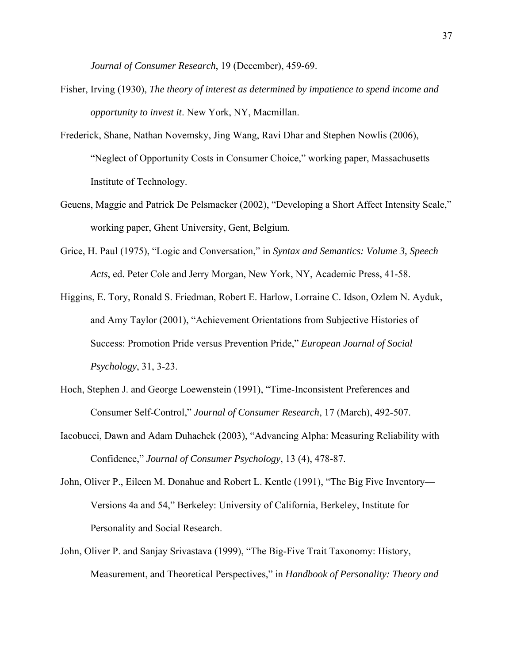*Journal of Consumer Research*, 19 (December), 459-69.

- Fisher, Irving (1930), *The theory of interest as determined by impatience to spend income and opportunity to invest it*. New York, NY, Macmillan.
- Frederick, Shane, Nathan Novemsky, Jing Wang, Ravi Dhar and Stephen Nowlis (2006), "Neglect of Opportunity Costs in Consumer Choice," working paper, Massachusetts Institute of Technology.
- Geuens, Maggie and Patrick De Pelsmacker (2002), "Developing a Short Affect Intensity Scale," working paper, Ghent University, Gent, Belgium.
- Grice, H. Paul (1975), "Logic and Conversation," in *Syntax and Semantics: Volume 3, Speech Acts*, ed. Peter Cole and Jerry Morgan, New York, NY, Academic Press, 41-58.
- Higgins, E. Tory, Ronald S. Friedman, Robert E. Harlow, Lorraine C. Idson, Ozlem N. Ayduk, and Amy Taylor (2001), "Achievement Orientations from Subjective Histories of Success: Promotion Pride versus Prevention Pride," *European Journal of Social Psychology*, 31, 3-23.
- Hoch, Stephen J. and George Loewenstein (1991), "Time-Inconsistent Preferences and Consumer Self-Control," *Journal of Consumer Research*, 17 (March), 492-507.
- Iacobucci, Dawn and Adam Duhachek (2003), "Advancing Alpha: Measuring Reliability with Confidence," *Journal of Consumer Psychology*, 13 (4), 478-87.
- John, Oliver P., Eileen M. Donahue and Robert L. Kentle (1991), "The Big Five Inventory— Versions 4a and 54," Berkeley: University of California, Berkeley, Institute for Personality and Social Research.
- John, Oliver P. and Sanjay Srivastava (1999), "The Big-Five Trait Taxonomy: History, Measurement, and Theoretical Perspectives," in *Handbook of Personality: Theory and*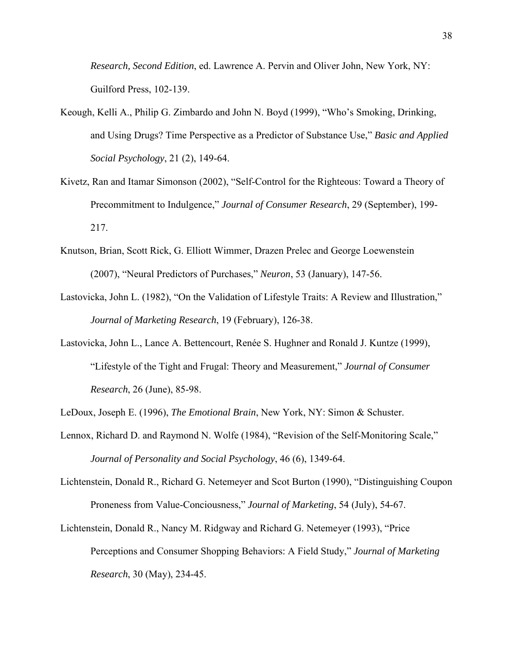*Research, Second Edition*, ed. Lawrence A. Pervin and Oliver John, New York, NY: Guilford Press, 102-139.

- Keough, Kelli A., Philip G. Zimbardo and John N. Boyd (1999), "Who's Smoking, Drinking, and Using Drugs? Time Perspective as a Predictor of Substance Use," *Basic and Applied Social Psychology*, 21 (2), 149-64.
- Kivetz, Ran and Itamar Simonson (2002), "Self-Control for the Righteous: Toward a Theory of Precommitment to Indulgence," *Journal of Consumer Research*, 29 (September), 199- 217.
- Knutson, Brian, Scott Rick, G. Elliott Wimmer, Drazen Prelec and George Loewenstein (2007), "Neural Predictors of Purchases," *Neuron*, 53 (January), 147-56.
- Lastovicka, John L. (1982), "On the Validation of Lifestyle Traits: A Review and Illustration," *Journal of Marketing Research*, 19 (February), 126-38.
- Lastovicka, John L., Lance A. Bettencourt, Renée S. Hughner and Ronald J. Kuntze (1999), "Lifestyle of the Tight and Frugal: Theory and Measurement," *Journal of Consumer Research*, 26 (June), 85-98.
- LeDoux, Joseph E. (1996), *The Emotional Brain*, New York, NY: Simon & Schuster.
- Lennox, Richard D. and Raymond N. Wolfe (1984), "Revision of the Self-Monitoring Scale," *Journal of Personality and Social Psychology*, 46 (6), 1349-64.
- Lichtenstein, Donald R., Richard G. Netemeyer and Scot Burton (1990), "Distinguishing Coupon Proneness from Value-Conciousness," *Journal of Marketing*, 54 (July), 54-67.
- Lichtenstein, Donald R., Nancy M. Ridgway and Richard G. Netemeyer (1993), "Price Perceptions and Consumer Shopping Behaviors: A Field Study," *Journal of Marketing Research*, 30 (May), 234-45.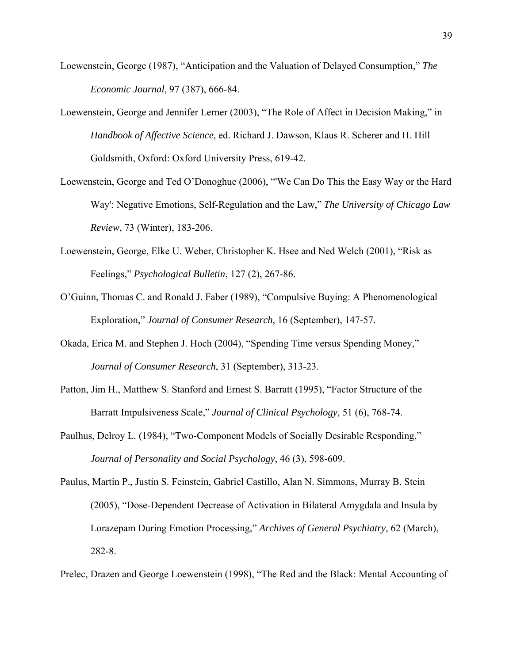- Loewenstein, George (1987), "Anticipation and the Valuation of Delayed Consumption," *The Economic Journal*, 97 (387), 666-84.
- Loewenstein, George and Jennifer Lerner (2003), "The Role of Affect in Decision Making," in *Handbook of Affective Science*, ed. Richard J. Dawson, Klaus R. Scherer and H. Hill Goldsmith, Oxford: Oxford University Press, 619-42.
- Loewenstein, George and Ted O'Donoghue (2006), "'We Can Do This the Easy Way or the Hard Way': Negative Emotions, Self-Regulation and the Law," *The University of Chicago Law Review*, 73 (Winter), 183-206.
- Loewenstein, George, Elke U. Weber, Christopher K. Hsee and Ned Welch (2001), "Risk as Feelings," *Psychological Bulletin*, 127 (2), 267-86.
- O'Guinn, Thomas C. and Ronald J. Faber (1989), "Compulsive Buying: A Phenomenological Exploration," *Journal of Consumer Research*, 16 (September), 147-57.
- Okada, Erica M. and Stephen J. Hoch (2004), "Spending Time versus Spending Money," *Journal of Consumer Research*, 31 (September), 313-23.
- Patton, Jim H., Matthew S. Stanford and Ernest S. Barratt (1995), "Factor Structure of the Barratt Impulsiveness Scale," *Journal of Clinical Psychology*, 51 (6), 768-74.
- Paulhus, Delroy L. (1984), "Two-Component Models of Socially Desirable Responding," *Journal of Personality and Social Psychology*, 46 (3), 598-609.
- Paulus, Martin P., Justin S. Feinstein, Gabriel Castillo, Alan N. Simmons, Murray B. Stein (2005), "Dose-Dependent Decrease of Activation in Bilateral Amygdala and Insula by Lorazepam During Emotion Processing," *Archives of General Psychiatry*, 62 (March), 282-8.

Prelec, Drazen and George Loewenstein (1998), "The Red and the Black: Mental Accounting of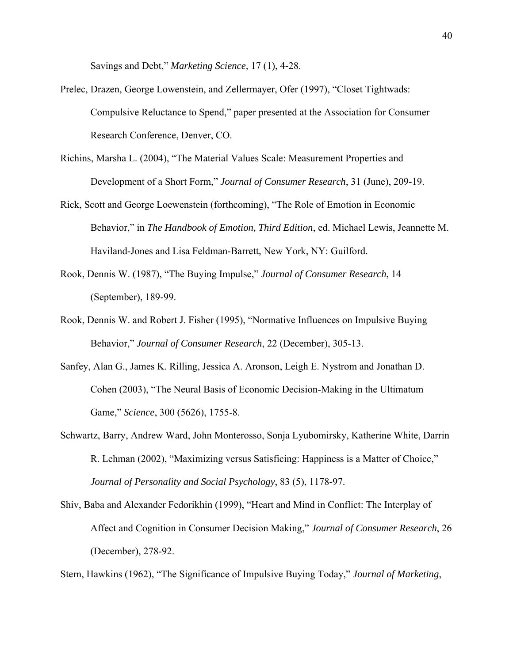Savings and Debt," *Marketing Science,* 17 (1), 4-28.

- Prelec, Drazen, George Lowenstein, and Zellermayer, Ofer (1997), "Closet Tightwads: Compulsive Reluctance to Spend," paper presented at the Association for Consumer Research Conference, Denver, CO.
- Richins, Marsha L. (2004), "The Material Values Scale: Measurement Properties and Development of a Short Form," *Journal of Consumer Research*, 31 (June), 209-19.
- Rick, Scott and George Loewenstein (forthcoming), "The Role of Emotion in Economic Behavior," in *The Handbook of Emotion, Third Edition*, ed. Michael Lewis, Jeannette M. Haviland-Jones and Lisa Feldman-Barrett, New York, NY: Guilford.
- Rook, Dennis W. (1987), "The Buying Impulse," *Journal of Consumer Research*, 14 (September), 189-99.
- Rook, Dennis W. and Robert J. Fisher (1995), "Normative Influences on Impulsive Buying Behavior," *Journal of Consumer Research*, 22 (December), 305-13.
- Sanfey, Alan G., James K. Rilling, Jessica A. Aronson, Leigh E. Nystrom and Jonathan D. Cohen (2003), "The Neural Basis of Economic Decision-Making in the Ultimatum Game," *Science*, 300 (5626), 1755-8.
- Schwartz, Barry, Andrew Ward, John Monterosso, Sonja Lyubomirsky, Katherine White, Darrin R. Lehman (2002), "Maximizing versus Satisficing: Happiness is a Matter of Choice," *Journal of Personality and Social Psychology*, 83 (5), 1178-97.
- Shiv, Baba and Alexander Fedorikhin (1999), "Heart and Mind in Conflict: The Interplay of Affect and Cognition in Consumer Decision Making," *Journal of Consumer Research*, 26 (December), 278-92.

Stern, Hawkins (1962), "The Significance of Impulsive Buying Today," *Journal of Marketing*,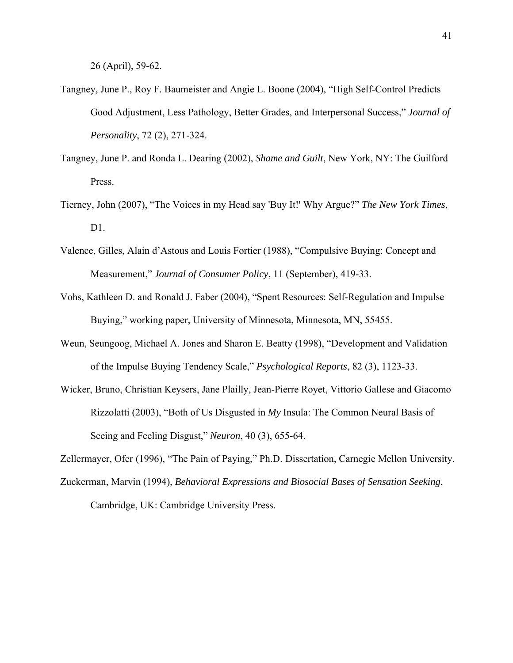26 (April), 59-62.

- Tangney, June P., Roy F. Baumeister and Angie L. Boone (2004), "High Self-Control Predicts Good Adjustment, Less Pathology, Better Grades, and Interpersonal Success," *Journal of Personality*, 72 (2), 271-324.
- Tangney, June P. and Ronda L. Dearing (2002), *Shame and Guilt*, New York, NY: The Guilford Press.
- Tierney, John (2007), "The Voices in my Head say 'Buy It!' Why Argue?" *The New York Times*, D1.
- Valence, Gilles, Alain d'Astous and Louis Fortier (1988), "Compulsive Buying: Concept and Measurement," *Journal of Consumer Policy*, 11 (September), 419-33.
- Vohs, Kathleen D. and Ronald J. Faber (2004), "Spent Resources: Self-Regulation and Impulse Buying," working paper, University of Minnesota, Minnesota, MN, 55455.
- Weun, Seungoog, Michael A. Jones and Sharon E. Beatty (1998), "Development and Validation of the Impulse Buying Tendency Scale," *Psychological Reports*, 82 (3), 1123-33.
- Wicker, Bruno, Christian Keysers, Jane Plailly, Jean-Pierre Royet, Vittorio Gallese and Giacomo Rizzolatti (2003), "Both of Us Disgusted in *My* Insula: The Common Neural Basis of Seeing and Feeling Disgust," *Neuron*, 40 (3), 655-64.

Zellermayer, Ofer (1996), "The Pain of Paying," Ph.D. Dissertation, Carnegie Mellon University.

Zuckerman, Marvin (1994), *Behavioral Expressions and Biosocial Bases of Sensation Seeking*, Cambridge, UK: Cambridge University Press.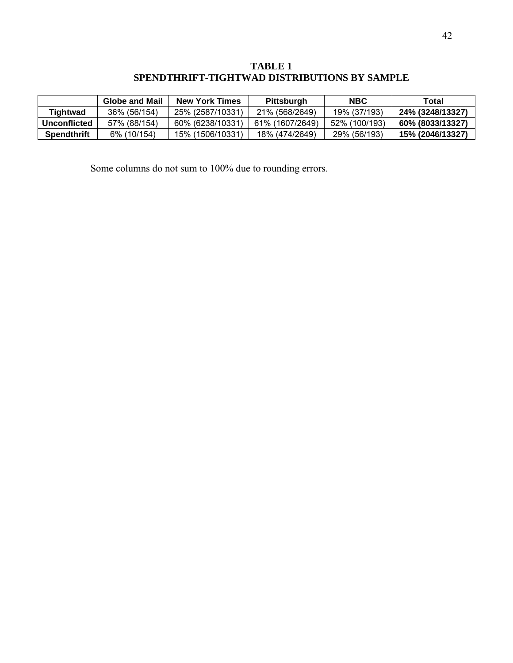# **TABLE 1 SPENDTHRIFT-TIGHTWAD DISTRIBUTIONS BY SAMPLE**

|                     | <b>Globe and Mail</b> | <b>New York Times</b> | Pittsburgh      | <b>NBC</b>    | Total            |
|---------------------|-----------------------|-----------------------|-----------------|---------------|------------------|
| Tiqhtwad            | 36% (56/154)          | 25% (2587/10331)      | 21% (568/2649)  | 19% (37/193)  | 24% (3248/13327) |
| <b>Unconflicted</b> | 57% (88/154)          | 60% (6238/10331)      | 61% (1607/2649) | 52% (100/193) | 60% (8033/13327) |
| <b>Spendthrift</b>  | 6% (10/154)           | 15% (1506/10331)      | 18% (474/2649)  | 29% (56/193)  | 15% (2046/13327) |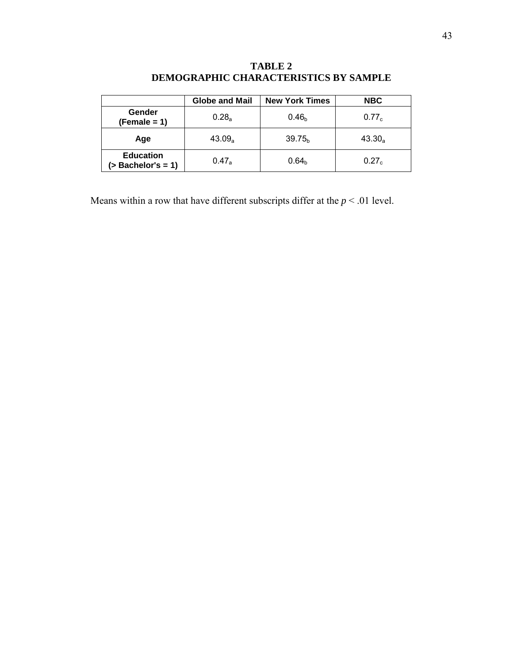|                                           | <b>Globe and Mail</b> | <b>New York Times</b> | <b>NBC</b> |
|-------------------------------------------|-----------------------|-----------------------|------------|
| Gender<br>(Female = 1)                    | $0.28_a$              | 0.46 <sub>b</sub>     | $0.77_c$   |
| Age                                       | $43.09_a$             | 39.75 <sub>b</sub>    | $43.30_a$  |
| <b>Education</b><br>$($ > Bachelor's = 1) | $0.47_a$              | 0.64 <sub>h</sub>     | $0.27_c$   |

**TABLE 2 DEMOGRAPHIC CHARACTERISTICS BY SAMPLE**

Means within a row that have different subscripts differ at the  $p < .01$  level.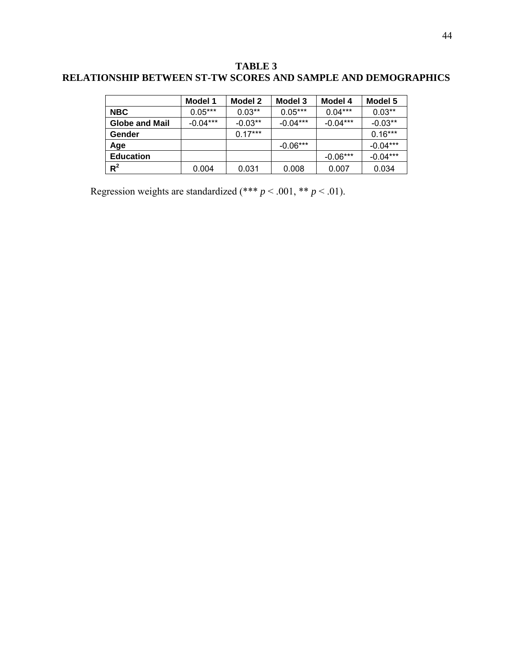**TABLE 3 RELATIONSHIP BETWEEN ST-TW SCORES AND SAMPLE AND DEMOGRAPHICS**

|                       | Model 1    | Model 2   | Model 3    | Model 4    | Model 5    |
|-----------------------|------------|-----------|------------|------------|------------|
| <b>NBC</b>            | $0.05***$  | $0.03**$  | $0.05***$  | $0.04***$  | $0.03**$   |
| <b>Globe and Mail</b> | $-0.04***$ | $-0.03**$ | $-0.04***$ | $-0.04***$ | $-0.03**$  |
| Gender                |            | $0.17***$ |            |            | $0.16***$  |
| Age                   |            |           | $-0.06***$ |            | $-0.04***$ |
| <b>Education</b>      |            |           |            | $-0.06***$ | $-0.04***$ |
| $R^2$                 | 0.004      | 0.031     | 0.008      | 0.007      | 0.034      |

Regression weights are standardized (\*\*\*  $p < .001$ , \*\*  $p < .01$ ).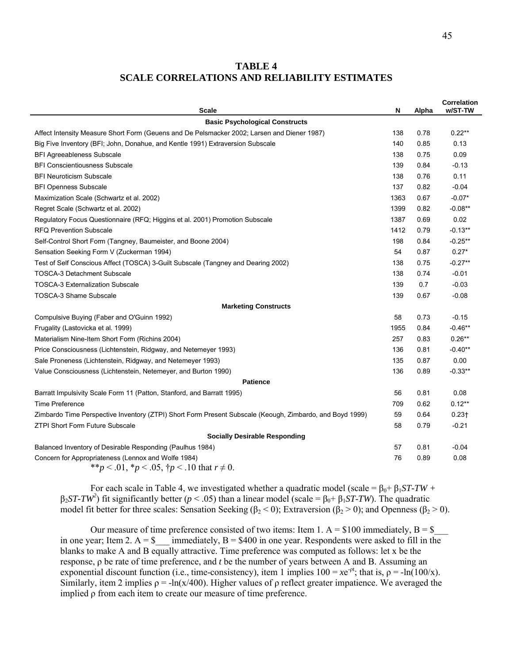**TABLE 4 SCALE CORRELATIONS AND RELIABILITY ESTIMATES**

| <b>Scale</b>                                                                                                    | N    | Alpha | Correlation<br>w/ST-TW |
|-----------------------------------------------------------------------------------------------------------------|------|-------|------------------------|
| <b>Basic Psychological Constructs</b>                                                                           |      |       |                        |
| Affect Intensity Measure Short Form (Geuens and De Pelsmacker 2002; Larsen and Diener 1987)                     | 138  | 0.78  | $0.22**$               |
| Big Five Inventory (BFI; John, Donahue, and Kentle 1991) Extraversion Subscale                                  | 140  | 0.85  | 0.13                   |
| <b>BFI Agreeableness Subscale</b>                                                                               | 138  | 0.75  | 0.09                   |
| <b>BFI Conscientiousness Subscale</b>                                                                           | 139  | 0.84  | $-0.13$                |
| <b>BFI Neuroticism Subscale</b>                                                                                 | 138  | 0.76  | 0.11                   |
| <b>BFI Openness Subscale</b>                                                                                    | 137  | 0.82  | $-0.04$                |
| Maximization Scale (Schwartz et al. 2002)                                                                       | 1363 | 0.67  | $-0.07*$               |
| Regret Scale (Schwartz et al. 2002)                                                                             | 1399 | 0.82  | $-0.08**$              |
| Regulatory Focus Questionnaire (RFQ; Higgins et al. 2001) Promotion Subscale                                    | 1387 | 0.69  | 0.02                   |
| <b>RFQ Prevention Subscale</b>                                                                                  | 1412 | 0.79  | $-0.13**$              |
| Self-Control Short Form (Tangney, Baumeister, and Boone 2004)                                                   | 198  | 0.84  | $-0.25**$              |
| Sensation Seeking Form V (Zuckerman 1994)                                                                       | 54   | 0.87  | $0.27*$                |
| Test of Self Conscious Affect (TOSCA) 3-Guilt Subscale (Tangney and Dearing 2002)                               | 138  | 0.75  | $-0.27**$              |
| <b>TOSCA-3 Detachment Subscale</b>                                                                              | 138  | 0.74  | $-0.01$                |
| <b>TOSCA-3 Externalization Subscale</b>                                                                         | 139  | 0.7   | $-0.03$                |
| TOSCA-3 Shame Subscale                                                                                          | 139  | 0.67  | $-0.08$                |
| <b>Marketing Constructs</b>                                                                                     |      |       |                        |
| Compulsive Buying (Faber and O'Guinn 1992)                                                                      | 58   | 0.73  | $-0.15$                |
| Frugality (Lastovicka et al. 1999)                                                                              | 1955 | 0.84  | -0.46**                |
| Materialism Nine-Item Short Form (Richins 2004)                                                                 | 257  | 0.83  | $0.26**$               |
| Price Consciousness (Lichtenstein, Ridgway, and Netemeyer 1993)                                                 | 136  | 0.81  | $-0.40**$              |
| Sale Proneness (Lichtenstein, Ridgway, and Netemeyer 1993)                                                      | 135  | 0.87  | 0.00                   |
| Value Consciousness (Lichtenstein, Netemeyer, and Burton 1990)                                                  | 136  | 0.89  | $-0.33**$              |
| <b>Patience</b>                                                                                                 |      |       |                        |
| Barratt Impulsivity Scale Form 11 (Patton, Stanford, and Barratt 1995)                                          | 56   | 0.81  | 0.08                   |
| <b>Time Preference</b>                                                                                          | 709  | 0.62  | $0.12**$               |
| Zimbardo Time Perspective Inventory (ZTPI) Short Form Present Subscale (Keough, Zimbardo, and Boyd 1999)        | 59   | 0.64  | $0.23 +$               |
| <b>ZTPI Short Form Future Subscale</b>                                                                          | 58   | 0.79  | $-0.21$                |
| <b>Socially Desirable Responding</b>                                                                            |      |       |                        |
| Balanced Inventory of Desirable Responding (Paulhus 1984)                                                       | 57   | 0.81  | $-0.04$                |
| Concern for Appropriateness (Lennox and Wolfe 1984)<br>**p < .01, *p < .05, $\dagger p$ < .10 that $r \neq 0$ . | 76   | 0.89  | 0.08                   |

For each scale in Table 4, we investigated whether a quadratic model (scale =  $\beta_0$ +  $\beta_1$ *ST-TW* +  $β<sub>2</sub>ST-TW<sup>2</sup>$ ) fit significantly better (*p* < .05) than a linear model (scale =  $β<sub>0</sub> + β<sub>1</sub>ST-TW$ ). The quadratic model fit better for three scales: Sensation Seeking (β<sub>2</sub> < 0); Extraversion (β<sub>2</sub> > 0); and Openness (β<sub>2</sub> > 0).

Our measure of time preference consisted of two items: Item 1. A =  $$100$  immediately, B =  $$$ in one year; Item 2.  $A = \S$  immediately, B = \$400 in one year. Respondents were asked to fill in the blanks to make A and B equally attractive. Time preference was computed as follows: let x be the response, ρ be rate of time preference, and *t* be the number of years between A and B. Assuming an exponential discount function (i.e., time-consistency), item 1 implies  $100 = xe^{-pt}$ ; that is,  $\rho = -ln(100/x)$ . Similarly, item 2 implies  $\rho = -\ln(x/400)$ . Higher values of  $\rho$  reflect greater impatience. We averaged the implied ρ from each item to create our measure of time preference.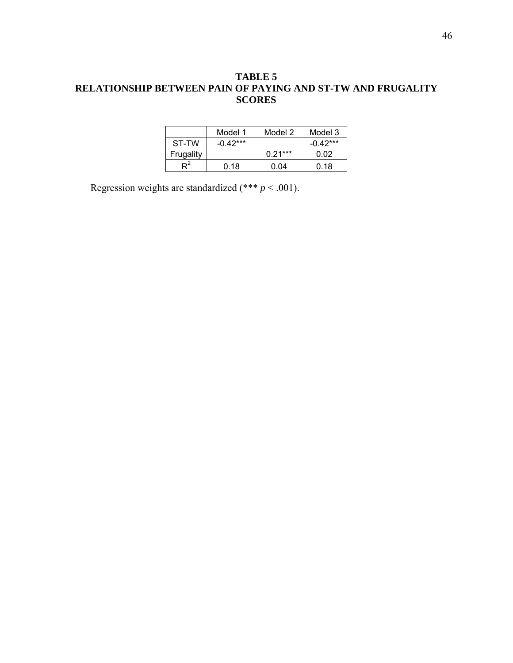### **TABLE 5 RELATIONSHIP BETWEEN PAIN OF PAYING AND ST-TW AND FRUGALITY SCORES**

|           | Model 1    | Model 2   | Model 3    |
|-----------|------------|-----------|------------|
| ST-TW     | $-0.42***$ |           | $-0.42***$ |
| Frugality |            | $0.21***$ | በ በ2       |
|           | 0.18       | በ በ4      | 0.18       |

Regression weights are standardized (\*\*\*  $p < .001$ ).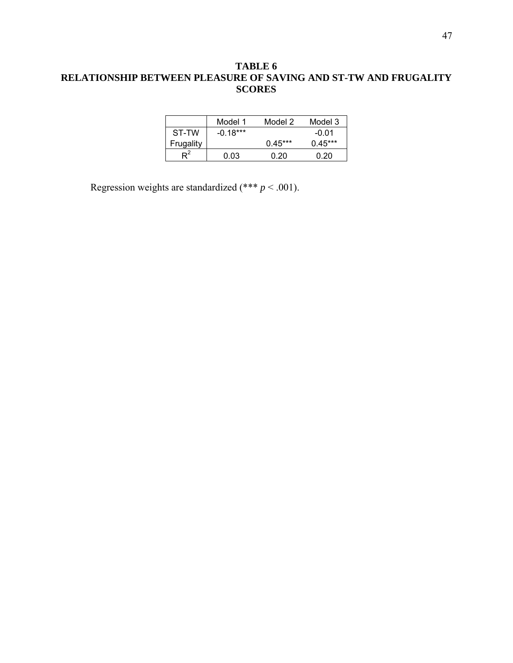# **TABLE 6 RELATIONSHIP BETWEEN PLEASURE OF SAVING AND ST-TW AND FRUGALITY SCORES**

|           | Model 1    | Model 2   | Model 3   |
|-----------|------------|-----------|-----------|
| ST-TW     | $-0.18***$ |           | -0.01     |
| Frugality |            | $0.45***$ | $0.45***$ |
|           | 0 03       | በ 20      | በ 2በ      |

Regression weights are standardized (\*\*\*  $p < .001$ ).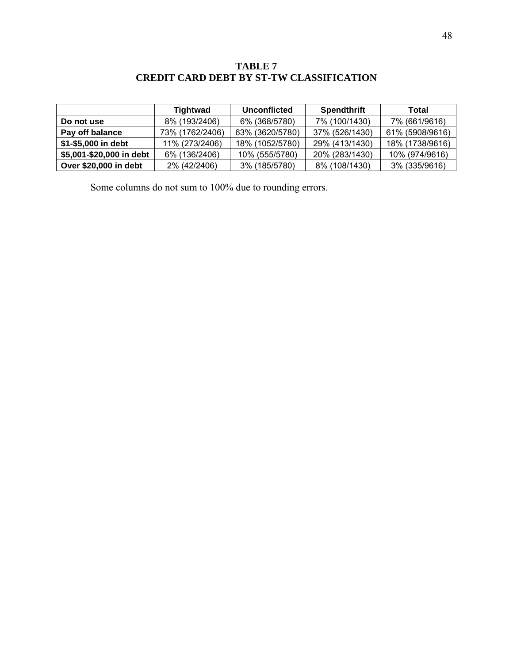| TABLE 7                                         |  |  |  |  |
|-------------------------------------------------|--|--|--|--|
| <b>CREDIT CARD DEBT BY ST-TW CLASSIFICATION</b> |  |  |  |  |

|                          | <b>Tightwad</b> | <b>Unconflicted</b> | <b>Spendthrift</b> | Total           |
|--------------------------|-----------------|---------------------|--------------------|-----------------|
| Do not use               | 8% (193/2406)   | 6% (368/5780)       | 7% (100/1430)      | 7% (661/9616)   |
| Pay off balance          | 73% (1762/2406) | 63% (3620/5780)     | 37% (526/1430)     | 61% (5908/9616) |
| \$1-\$5,000 in debt      | 11% (273/2406)  | 18% (1052/5780)     | 29% (413/1430)     | 18% (1738/9616) |
| \$5,001-\$20,000 in debt | 6% (136/2406)   | 10% (555/5780)      | 20% (283/1430)     | 10% (974/9616)  |
| Over \$20,000 in debt    | 2% (42/2406)    | 3% (185/5780)       | 8% (108/1430)      | 3% (335/9616)   |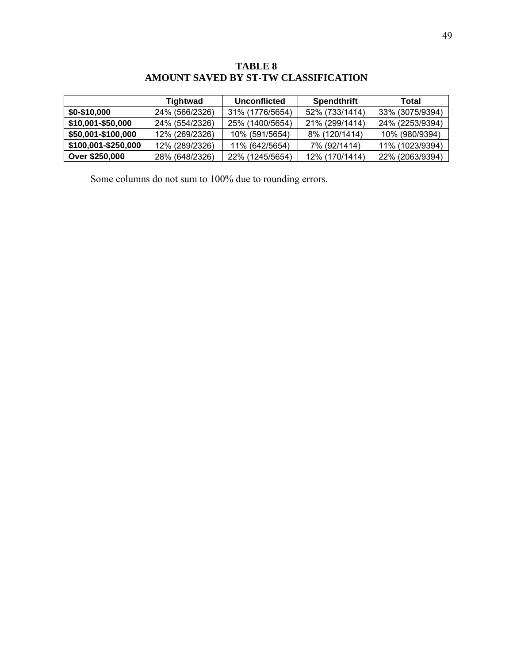|                     | Tightwad       | <b>Unconflicted</b> | <b>Spendthrift</b> | Total           |
|---------------------|----------------|---------------------|--------------------|-----------------|
| \$0-\$10,000        | 24% (566/2326) | 31% (1776/5654)     | 52% (733/1414)     | 33% (3075/9394) |
| \$10,001-\$50,000   | 24% (554/2326) | 25% (1400/5654)     | 21% (299/1414)     | 24% (2253/9394) |
| \$50,001-\$100,000  | 12% (269/2326) | 10% (591/5654)      | 8% (120/1414)      | 10% (980/9394)  |
| \$100,001-\$250,000 | 12% (289/2326) | 11% (642/5654)      | 7% (92/1414)       | 11% (1023/9394) |
| Over \$250,000      | 28% (648/2326) | 22% (1245/5654)     | 12% (170/1414)     | 22% (2063/9394) |

**TABLE 8 AMOUNT SAVED BY ST-TW CLASSIFICATION**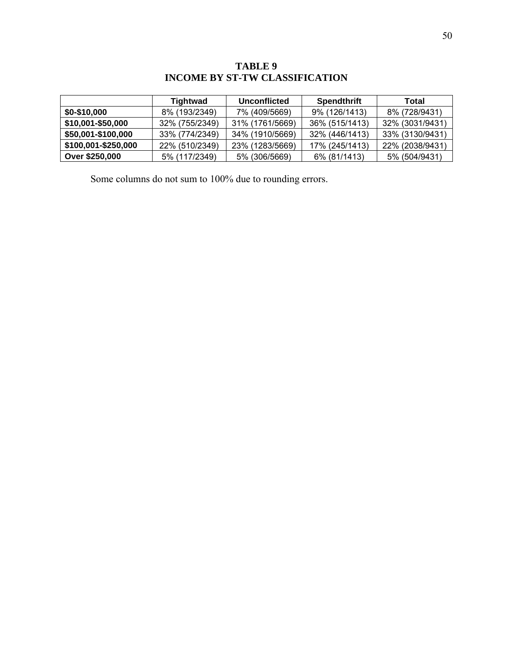| ×                  |                   |
|--------------------|-------------------|
| I<br>۰.<br>۰.<br>× | I<br>I<br>×<br>۰. |

|                     |                 | <b>Unconflicted</b> |                    |                 |  |
|---------------------|-----------------|---------------------|--------------------|-----------------|--|
|                     | <b>Tightwad</b> |                     | <b>Spendthrift</b> | Total           |  |
| \$0-\$10,000        | 8% (193/2349)   | 7% (409/5669)       | 9% (126/1413)      | 8% (728/9431)   |  |
| \$10,001-\$50,000   | 32% (755/2349)  | 31% (1761/5669)     | 36% (515/1413)     | 32% (3031/9431) |  |
| \$50,001-\$100,000  | 33% (774/2349)  | 34% (1910/5669)     | 32% (446/1413)     | 33% (3130/9431) |  |
| \$100,001-\$250,000 | 22% (510/2349)  | 23% (1283/5669)     | 17% (245/1413)     | 22% (2038/9431) |  |
| Over \$250,000      | 5% (117/2349)   | 5% (306/5669)       | 6% (81/1413)       | 5% (504/9431)   |  |

# **TABLE 9 INCOME BY ST-TW CLASSIFICATION**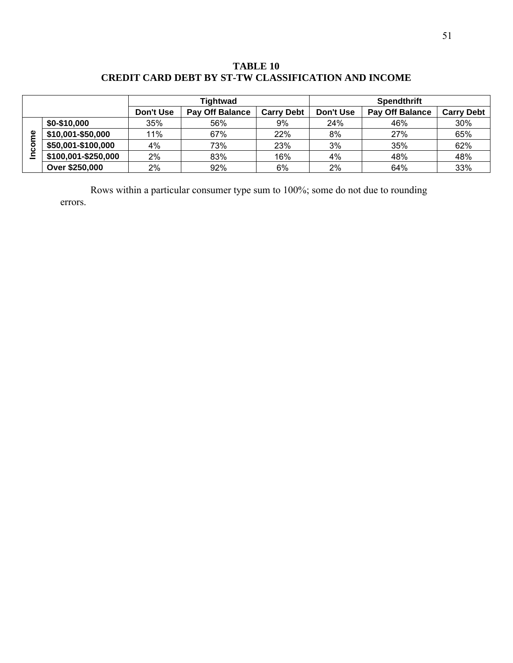# **TABLE 10 CREDIT CARD DEBT BY ST-TW CLASSIFICATION AND INCOME**

|        |                     | Tightwad  |                 |                   | <b>Spendthrift</b> |                 |                   |
|--------|---------------------|-----------|-----------------|-------------------|--------------------|-----------------|-------------------|
|        |                     | Don't Use | Pay Off Balance | <b>Carry Debt</b> | Don't Use          | Pay Off Balance | <b>Carry Debt</b> |
| Φ<br>≐ | \$0-\$10,000        | 35%       | 56%             | 9%                | 24%                | 46%             | 30%               |
|        | \$10,001-\$50,000   | 11%       | 67%             | 22%               | 8%                 | 27%             | 65%               |
|        | \$50,001-\$100,000  | 4%        | 73%             | 23%               | 3%                 | 35%             | 62%               |
|        | \$100,001-\$250,000 | 2%        | 83%             | 16%               | 4%                 | 48%             | 48%               |
|        | Over \$250,000      | 2%        | 92%             | 6%                | 2%                 | 64%             | 33%               |

Rows within a particular consumer type sum to 100%; some do not due to rounding errors.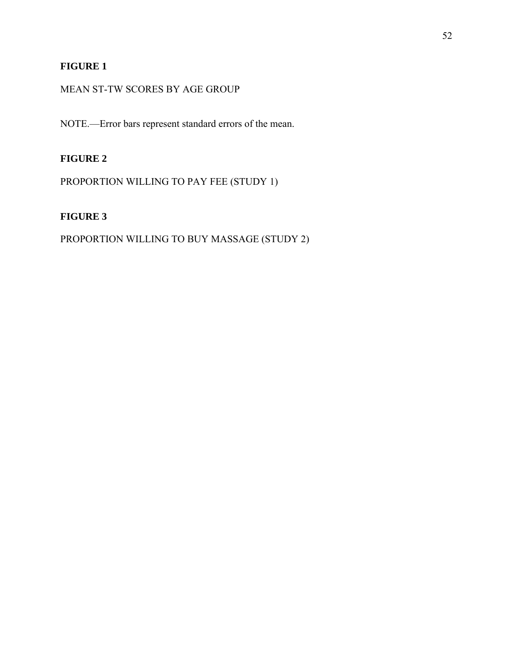# **FIGURE 1**

# MEAN ST-TW SCORES BY AGE GROUP

NOTE.—Error bars represent standard errors of the mean.

# **FIGURE 2**

PROPORTION WILLING TO PAY FEE (STUDY 1)

# **FIGURE 3**

PROPORTION WILLING TO BUY MASSAGE (STUDY 2)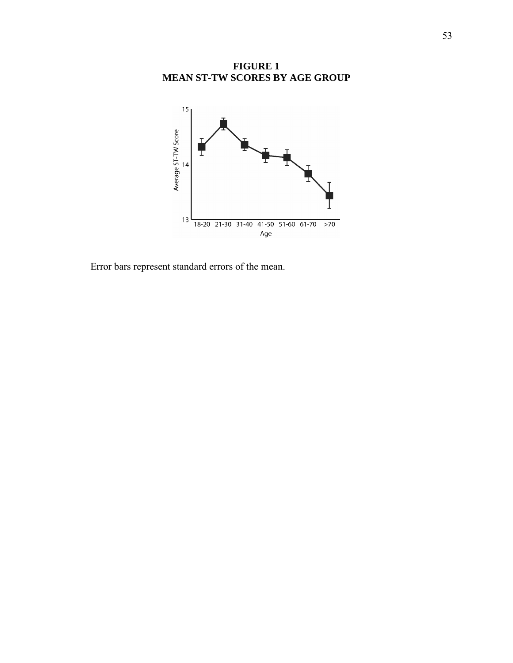**FIGURE 1 MEAN ST-TW SCORES BY AGE GROUP**



Error bars represent standard errors of the mean.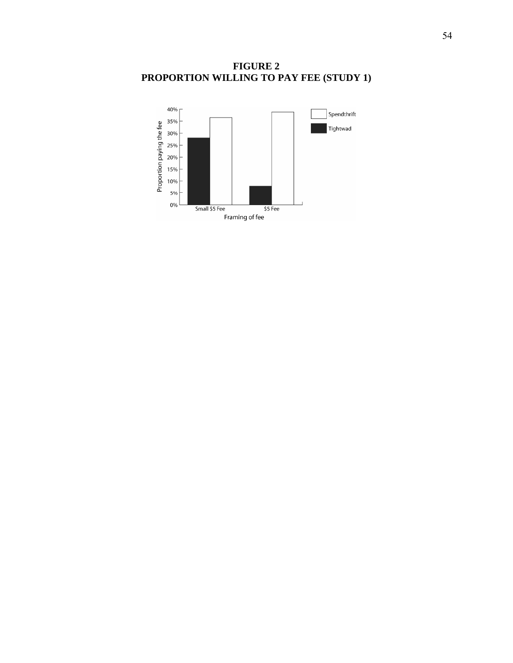**FIGURE 2 PROPORTION WILLING TO PAY FEE (STUDY 1)**

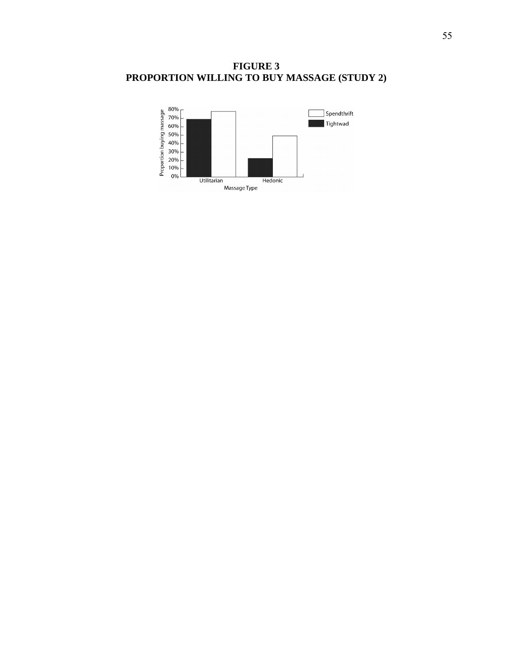**FIGURE 3 PROPORTION WILLING TO BUY MASSAGE (STUDY 2)**